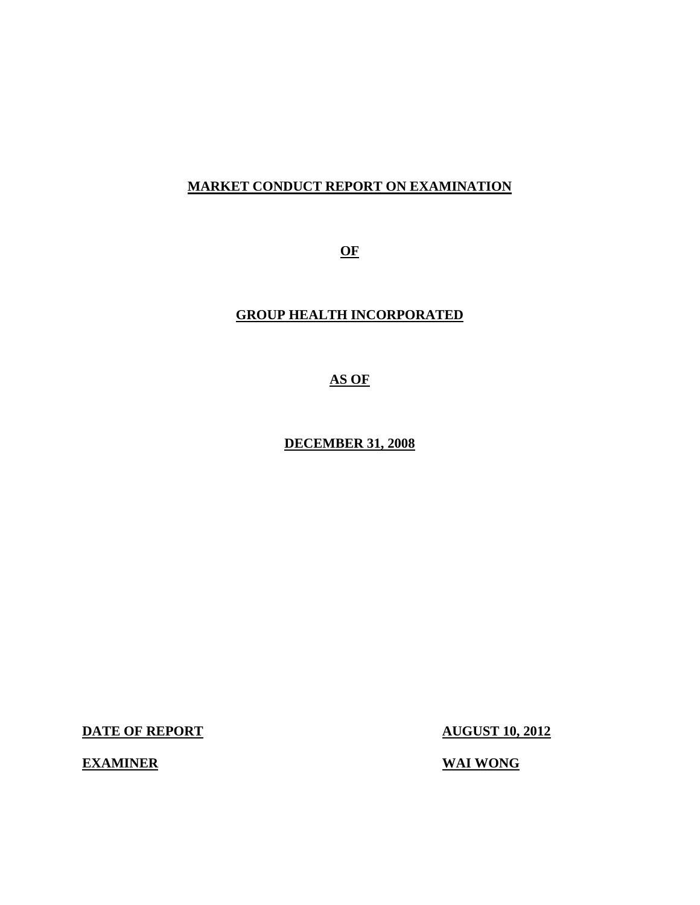## **MARKET CONDUCT REPORT ON EXAMINATION**

**OF** 

## **GROUP HEALTH INCORPORATED**

**AS OF** 

**DECEMBER 31, 2008** 

**DATE OF REPORT AUGUST 10, 2012** 

**EXAMINER** WAI WONG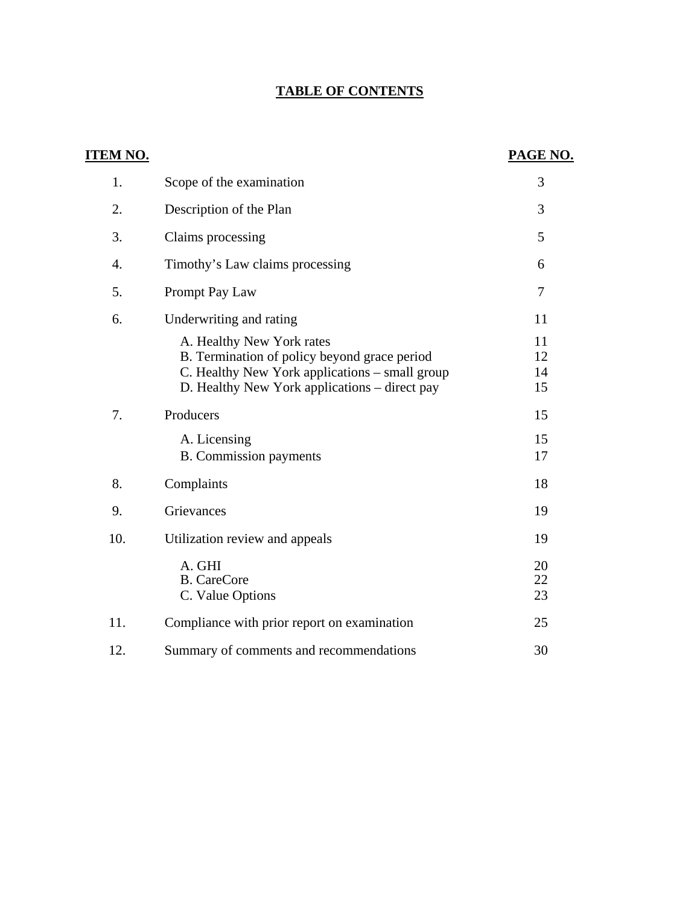## **TABLE OF CONTENTS**

| <u>ITEM NO.</u> |                                                                                                                                                                              | PAGE NO.             |
|-----------------|------------------------------------------------------------------------------------------------------------------------------------------------------------------------------|----------------------|
| 1.              | Scope of the examination                                                                                                                                                     | 3                    |
| 2.              | Description of the Plan                                                                                                                                                      | 3                    |
| 3.              | Claims processing                                                                                                                                                            | 5                    |
| 4.              | Timothy's Law claims processing                                                                                                                                              | 6                    |
| 5.              | Prompt Pay Law                                                                                                                                                               | 7                    |
| 6.              | Underwriting and rating                                                                                                                                                      | 11                   |
|                 | A. Healthy New York rates<br>B. Termination of policy beyond grace period<br>C. Healthy New York applications - small group<br>D. Healthy New York applications – direct pay | 11<br>12<br>14<br>15 |
| 7.              | Producers                                                                                                                                                                    | 15                   |
|                 | A. Licensing<br><b>B.</b> Commission payments                                                                                                                                | 15<br>17             |
| 8.              | Complaints                                                                                                                                                                   | 18                   |
| 9.              | Grievances                                                                                                                                                                   | 19                   |
| 10.             | Utilization review and appeals                                                                                                                                               | 19                   |
|                 | A. GHI<br><b>B.</b> CareCore<br>C. Value Options                                                                                                                             | 20<br>22<br>23       |
| 11.             | Compliance with prior report on examination                                                                                                                                  | 25                   |
| 12.             | Summary of comments and recommendations                                                                                                                                      | 30                   |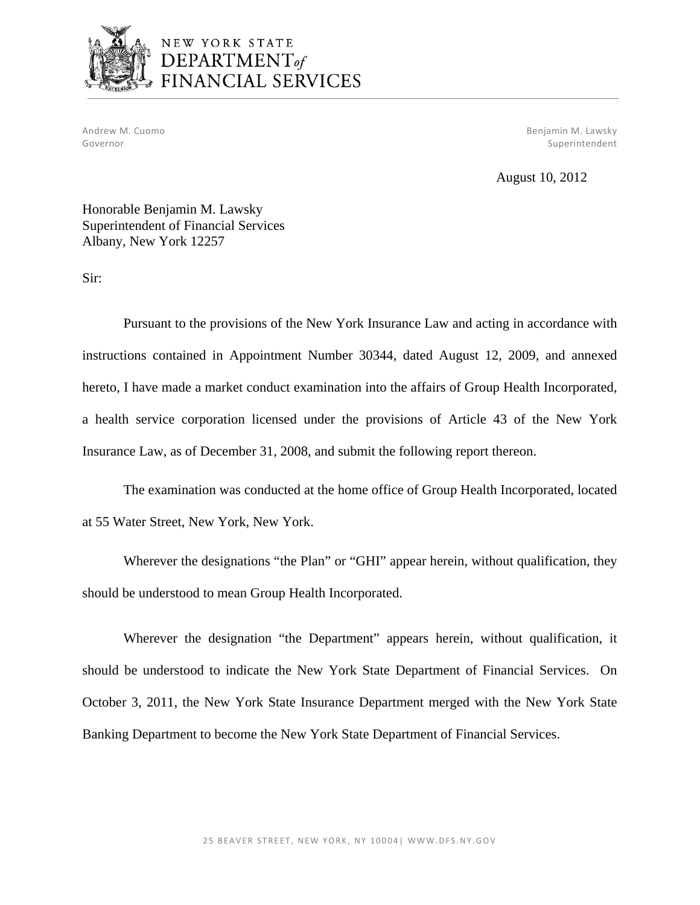

## NEW YORK STATE DEPARTMENT<sub>of</sub> FINANCIAL SERVICES

Andrew M. Cuomo Benjamin M. Lawsky Governor Superintendent Superintendent Superintendent Superintendent Superintendent Superintendent Superintendent

August 10, 2012

Honorable Benjamin M. Lawsky Superintendent of Financial Services Albany, New York 12257

Sir:

Pursuant to the provisions of the New York Insurance Law and acting in accordance with instructions contained in Appointment Number 30344, dated August 12, 2009, and annexed hereto, I have made a market conduct examination into the affairs of Group Health Incorporated, a health service corporation licensed under the provisions of Article 43 of the New York Insurance Law, as of December 31, 2008, and submit the following report thereon.

The examination was conducted at the home office of Group Health Incorporated, located at 55 Water Street, New York, New York.

Wherever the designations "the Plan" or "GHI" appear herein, without qualification, they should be understood to mean Group Health Incorporated.

Wherever the designation "the Department" appears herein, without qualification, it should be understood to indicate the New York State Department of Financial Services. On October 3, 2011, the New York State Insurance Department merged with the New York State Banking Department to become the New York State Department of Financial Services.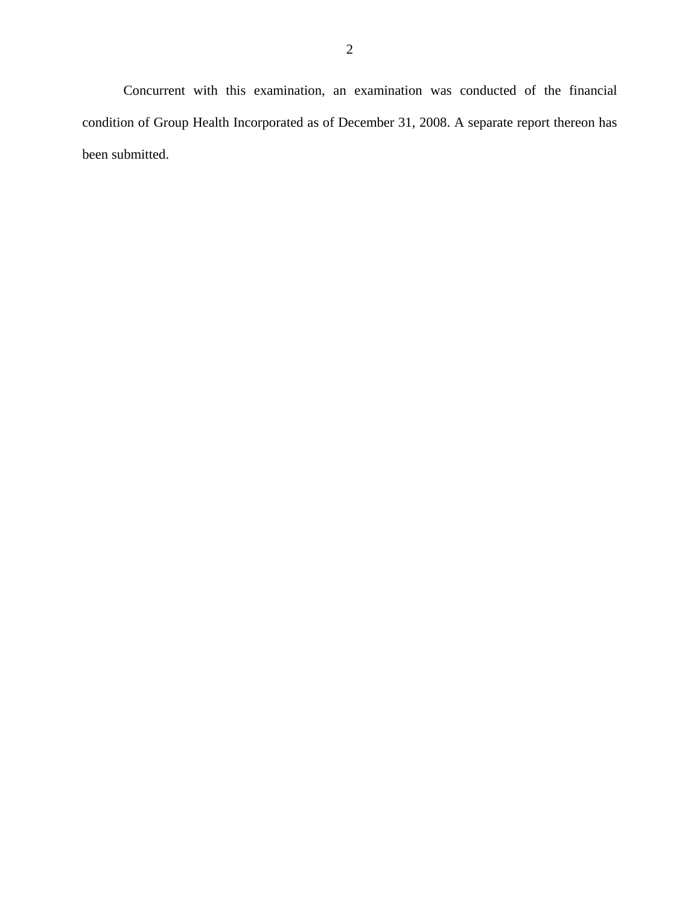Concurrent with this examination, an examination was conducted of the financial condition of Group Health Incorporated as of December 31, 2008. A separate report thereon has been submitted.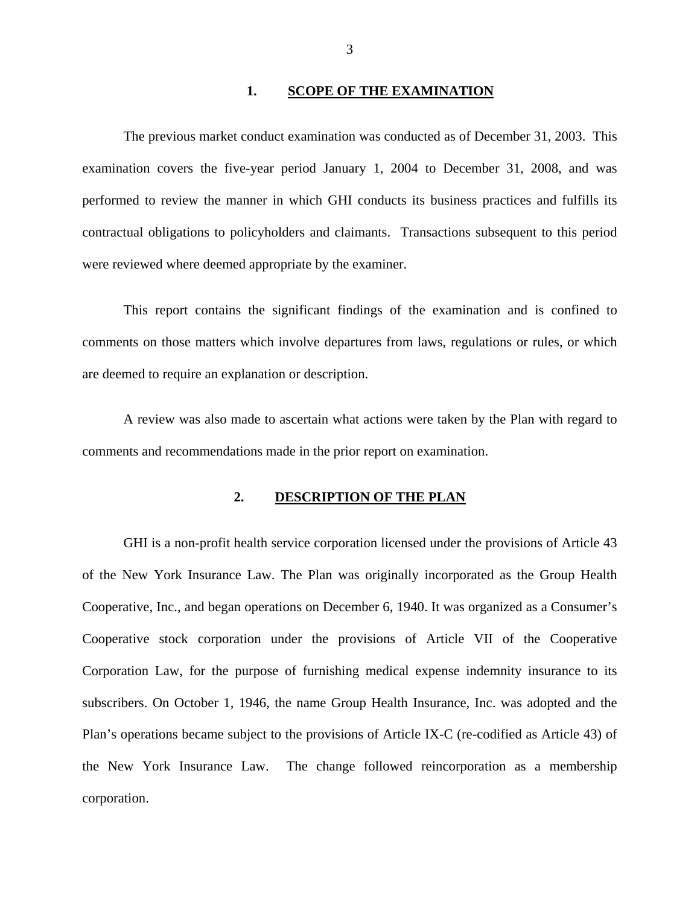#### **1. SCOPE OF THE EXAMINATION**

The previous market conduct examination was conducted as of December 31, 2003. This examination covers the five-year period January 1, 2004 to December 31, 2008, and was performed to review the manner in which GHI conducts its business practices and fulfills its contractual obligations to policyholders and claimants. Transactions subsequent to this period were reviewed where deemed appropriate by the examiner.

This report contains the significant findings of the examination and is confined to comments on those matters which involve departures from laws, regulations or rules, or which are deemed to require an explanation or description.

A review was also made to ascertain what actions were taken by the Plan with regard to comments and recommendations made in the prior report on examination.

#### 2. **DESCRIPTION OF THE PLAN**

GHI is a non-profit health service corporation licensed under the provisions of Article 43 of the New York Insurance Law. The Plan was originally incorporated as the Group Health Cooperative, Inc., and began operations on December 6, 1940. It was organized as a Consumer's Cooperative stock corporation under the provisions of Article VII of the Cooperative Corporation Law, for the purpose of furnishing medical expense indemnity insurance to its subscribers. On October 1, 1946, the name Group Health Insurance, Inc. was adopted and the Plan's operations became subject to the provisions of Article IX-C (re-codified as Article 43) of the New York Insurance Law. The change followed reincorporation as a membership corporation.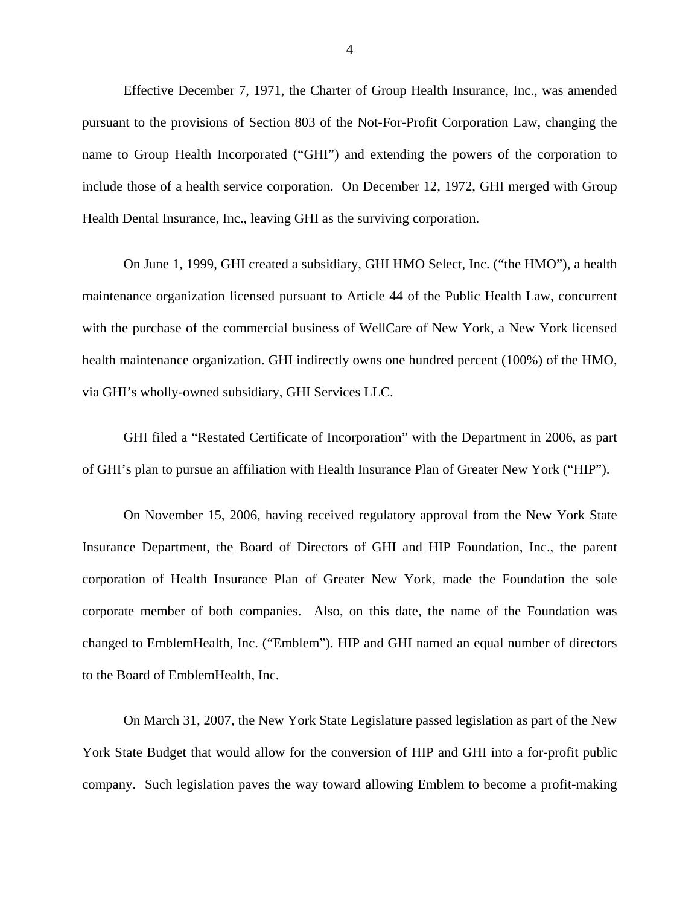Effective December 7, 1971, the Charter of Group Health Insurance, Inc., was amended pursuant to the provisions of Section 803 of the Not-For-Profit Corporation Law, changing the name to Group Health Incorporated ("GHI") and extending the powers of the corporation to include those of a health service corporation. On December 12, 1972, GHI merged with Group Health Dental Insurance, Inc., leaving GHI as the surviving corporation.

On June 1, 1999, GHI created a subsidiary, GHI HMO Select, Inc. ("the HMO"), a health maintenance organization licensed pursuant to Article 44 of the Public Health Law, concurrent with the purchase of the commercial business of WellCare of New York, a New York licensed health maintenance organization. GHI indirectly owns one hundred percent (100%) of the HMO, via GHI's wholly-owned subsidiary, GHI Services LLC.

GHI filed a "Restated Certificate of Incorporation" with the Department in 2006, as part of GHI's plan to pursue an affiliation with Health Insurance Plan of Greater New York ("HIP").

On November 15, 2006, having received regulatory approval from the New York State Insurance Department, the Board of Directors of GHI and HIP Foundation, Inc., the parent corporation of Health Insurance Plan of Greater New York, made the Foundation the sole corporate member of both companies. Also, on this date, the name of the Foundation was changed to EmblemHealth, Inc. ("Emblem"). HIP and GHI named an equal number of directors to the Board of EmblemHealth, Inc.

On March 31, 2007, the New York State Legislature passed legislation as part of the New York State Budget that would allow for the conversion of HIP and GHI into a for-profit public company. Such legislation paves the way toward allowing Emblem to become a profit-making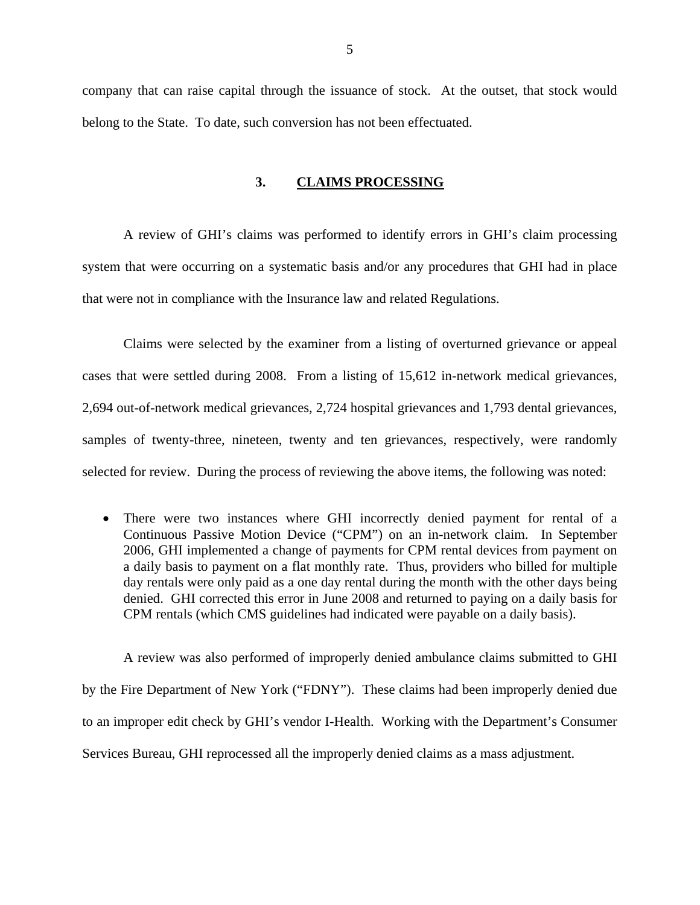<span id="page-6-0"></span>company that can raise capital through the issuance of stock. At the outset, that stock would belong to the State. To date, such conversion has not been effectuated.

#### **3. CLAIMS PROCESSING**

A review of GHI's claims was performed to identify errors in GHI's claim processing system that were occurring on a systematic basis and/or any procedures that GHI had in place that were not in compliance with the Insurance law and related Regulations.

Claims were selected by the examiner from a listing of overturned grievance or appeal cases that were settled during 2008. From a listing of 15,612 in-network medical grievances, 2,694 out-of-network medical grievances, 2,724 hospital grievances and 1,793 dental grievances, samples of twenty-three, nineteen, twenty and ten grievances, respectively, were randomly selected for review. During the process of reviewing the above items, the following was noted:

 There were two instances where GHI incorrectly denied payment for rental of a Continuous Passive Motion Device ("CPM") on an in-network claim. In September 2006, GHI implemented a change of payments for CPM rental devices from payment on a daily basis to payment on a flat monthly rate. Thus, providers who billed for multiple day rentals were only paid as a one day rental during the month with the other days being denied. GHI corrected this error in June 2008 and returned to paying on a daily basis for CPM rentals (which CMS guidelines had indicated were payable on a daily basis).

A review was also performed of improperly denied ambulance claims submitted to GHI by the Fire Department of New York ("FDNY"). These claims had been improperly denied due to an improper edit check by GHI's vendor I-Health. Working with the Department's Consumer Services Bureau, GHI reprocessed all the improperly denied claims as a mass adjustment.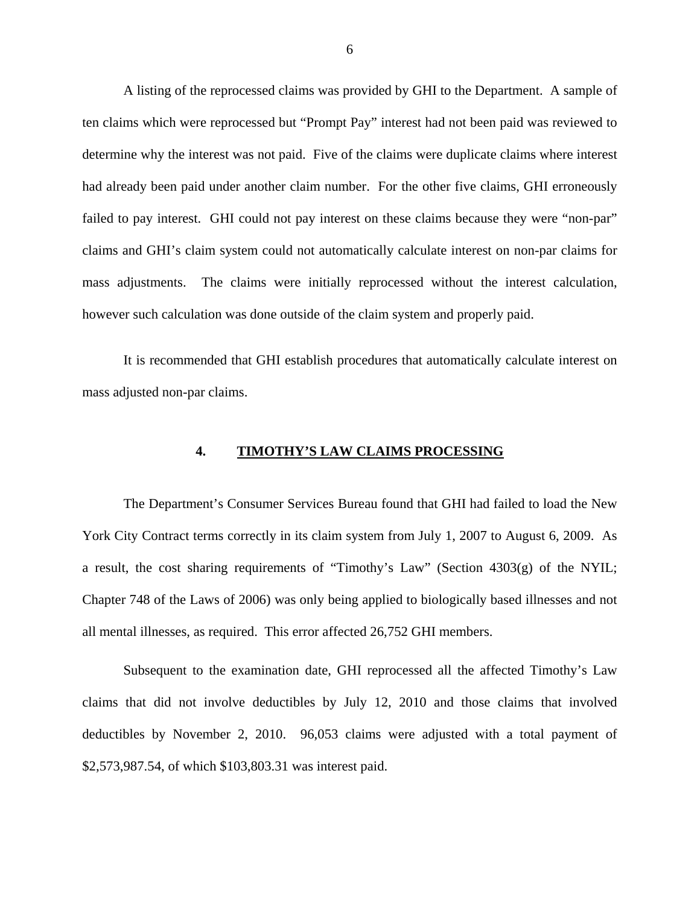<span id="page-7-0"></span>A listing of the reprocessed claims was provided by GHI to the Department. A sample of ten claims which were reprocessed but "Prompt Pay" interest had not been paid was reviewed to determine why the interest was not paid. Five of the claims were duplicate claims where interest had already been paid under another claim number. For the other five claims, GHI erroneously failed to pay interest. GHI could not pay interest on these claims because they were "non-par" claims and GHI's claim system could not automatically calculate interest on non-par claims for mass adjustments. The claims were initially reprocessed without the interest calculation, however such calculation was done outside of the claim system and properly paid.

It is recommended that GHI establish procedures that automatically calculate interest on mass adjusted non-par claims.

#### **4. TIMOTHY'S LAW CLAIMS PROCESSING**

The Department's Consumer Services Bureau found that GHI had failed to load the New York City Contract terms correctly in its claim system from July 1, 2007 to August 6, 2009. As a result, the cost sharing requirements of "Timothy's Law" (Section 4303(g) of the NYIL; Chapter 748 of the Laws of 2006) was only being applied to biologically based illnesses and not all mental illnesses, as required. This error affected 26,752 GHI members.

Subsequent to the examination date, GHI reprocessed all the affected Timothy's Law claims that did not involve deductibles by July 12, 2010 and those claims that involved deductibles by November 2, 2010. 96,053 claims were adjusted with a total payment of \$[2,573,987.54](https://2,573,987.54), of which [\\$103,803.31](https://103,803.31) was interest paid.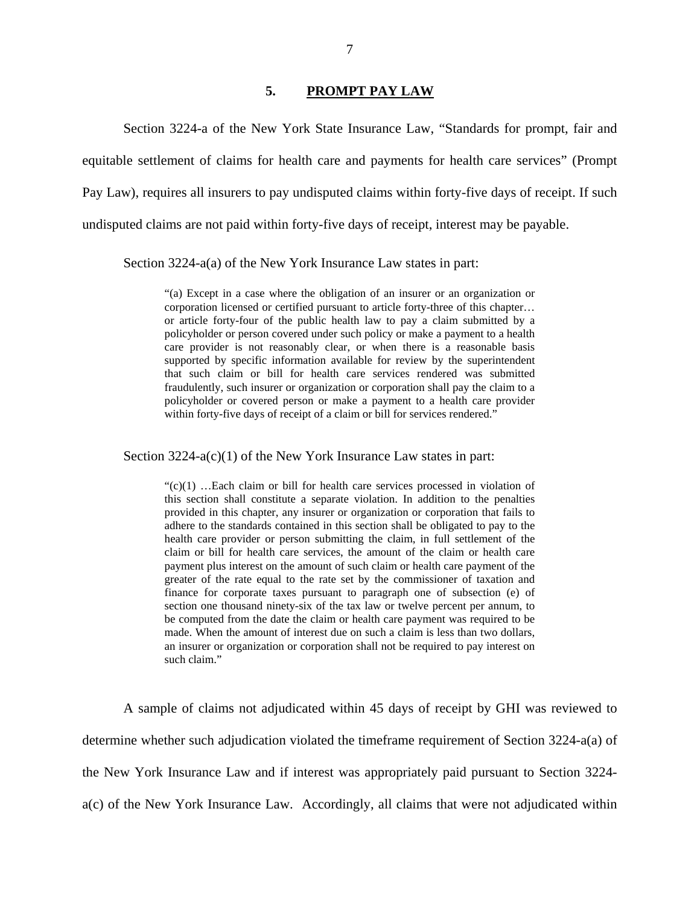#### **5. PROMPT PAY LAW**

<span id="page-8-0"></span>Section 3224-a of the New York State Insurance Law, "Standards for prompt, fair and equitable settlement of claims for health care and payments for health care services" (Prompt Pay Law), requires all insurers to pay undisputed claims within forty-five days of receipt. If such undisputed claims are not paid within forty-five days of receipt, interest may be payable.

Section 3224-a(a) of the New York Insurance Law states in part:

 or article forty-four of the public health law to pay a claim submitted by a fraudulently, such insurer or organization or corporation shall pay the claim to a "(a) Except in a case where the obligation of an insurer or an organization or corporation licensed or certified pursuant to article forty-three of this chapter… policyholder or person covered under such policy or make a payment to a health care provider is not reasonably clear, or when there is a reasonable basis supported by specific information available for review by the superintendent that such claim or bill for health care services rendered was submitted policyholder or covered person or make a payment to a health care provider within forty-five days of receipt of a claim or bill for services rendered."

Section 3224-a(c)(1) of the New York Insurance Law states in part:

 adhere to the standards contained in this section shall be obligated to pay to the greater of the rate equal to the rate set by the commissioner of taxation and  $\mathcal{C}(c)(1)$  ... Each claim or bill for health care services processed in violation of this section shall constitute a separate violation. In addition to the penalties provided in this chapter, any insurer or organization or corporation that fails to health care provider or person submitting the claim, in full settlement of the claim or bill for health care services, the amount of the claim or health care payment plus interest on the amount of such claim or health care payment of the finance for corporate taxes pursuant to paragraph one of subsection (e) of section one thousand ninety-six of the tax law or twelve percent per annum, to be computed from the date the claim or health care payment was required to be made. When the amount of interest due on such a claim is less than two dollars, an insurer or organization or corporation shall not be required to pay interest on such claim."

A sample of claims not adjudicated within 45 days of receipt by GHI was reviewed to determine whether such adjudication violated the timeframe requirement of Section 3224-a(a) of the New York Insurance Law and if interest was appropriately paid pursuant to Section 3224 a(c) of the New York Insurance Law. Accordingly, all claims that were not adjudicated within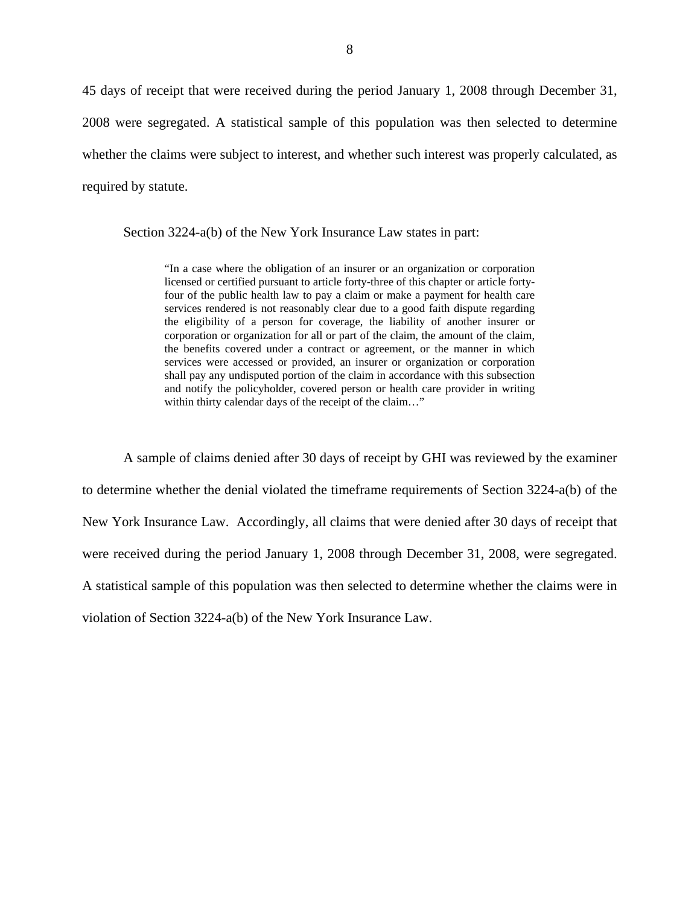45 days of receipt that were received during the period January 1, 2008 through December 31, 2008 were segregated. A statistical sample of this population was then selected to determine whether the claims were subject to interest, and whether such interest was properly calculated, as required by statute.

Section 3224-a(b) of the New York Insurance Law states in part:

 licensed or certified pursuant to article forty-three of this chapter or article forty- four of the public health law to pay a claim or make a payment for health care "In a case where the obligation of an insurer or an organization or corporation services rendered is not reasonably clear due to a good faith dispute regarding the eligibility of a person for coverage, the liability of another insurer or corporation or organization for all or part of the claim, the amount of the claim, the benefits covered under a contract or agreement, or the manner in which services were accessed or provided, an insurer or organization or corporation shall pay any undisputed portion of the claim in accordance with this subsection and notify the policyholder, covered person or health care provider in writing within thirty calendar days of the receipt of the claim…"

A sample of claims denied after 30 days of receipt by GHI was reviewed by the examiner to determine whether the denial violated the timeframe requirements of Section 3224-a(b) of the New York Insurance Law. Accordingly, all claims that were denied after 30 days of receipt that were received during the period January 1, 2008 through December 31, 2008, were segregated. A statistical sample of this population was then selected to determine whether the claims were in violation of Section 3224-a(b) of the New York Insurance Law.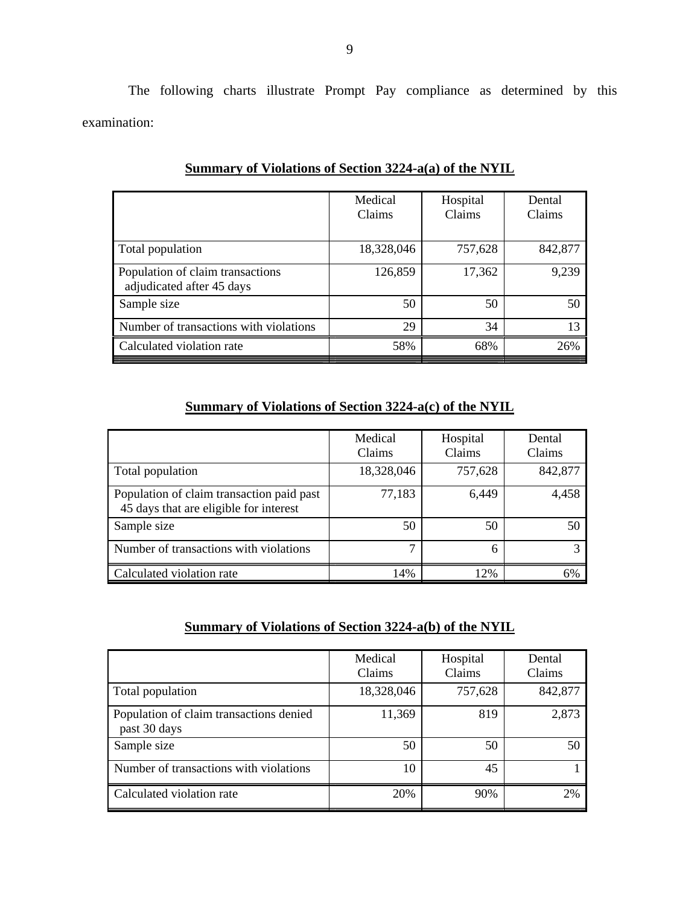The following charts illustrate Prompt Pay compliance as determined by this examination:

|                                                               | Medical<br>Claims | Hospital<br>Claims | Dental<br>Claims |
|---------------------------------------------------------------|-------------------|--------------------|------------------|
| Total population                                              | 18,328,046        | 757,628            | 842,877          |
| Population of claim transactions<br>adjudicated after 45 days | 126,859           | 17,362             | 9,239            |
| Sample size                                                   | 50                | 50                 | 50               |
| Number of transactions with violations                        | 29                | 34                 | 13               |
| Calculated violation rate                                     | 58%               | 68%                | 26%              |

## **Summary of Violations of Section 3224-a(a) of the NYIL**

## **Summary of Violations of Section 3224-a(c) of the NYIL**

|                                                                                     | Medical<br>Claims | Hospital<br>Claims | Dental<br>Claims |
|-------------------------------------------------------------------------------------|-------------------|--------------------|------------------|
| Total population                                                                    | 18,328,046        | 757,628            | 842,877          |
| Population of claim transaction paid past<br>45 days that are eligible for interest | 77,183            | 6,449              | 4,458            |
| Sample size                                                                         | 50                | 50                 | 50               |
| Number of transactions with violations                                              | −                 | 6                  | 3                |
| Calculated violation rate                                                           | 14%               | 12%                | 6%               |

## **Summary of Violations of Section 3224-a(b) of the NYIL**

|                                                         | Medical<br>Claims | Hospital<br><b>Claims</b> | Dental<br>Claims |
|---------------------------------------------------------|-------------------|---------------------------|------------------|
| Total population                                        | 18,328,046        | 757,628                   | 842,877          |
| Population of claim transactions denied<br>past 30 days | 11,369            | 819                       | 2,873            |
| Sample size                                             | 50                | 50                        | 50               |
| Number of transactions with violations                  | 10                | 45                        |                  |
| Calculated violation rate                               | 20%               | 90%                       | 2%               |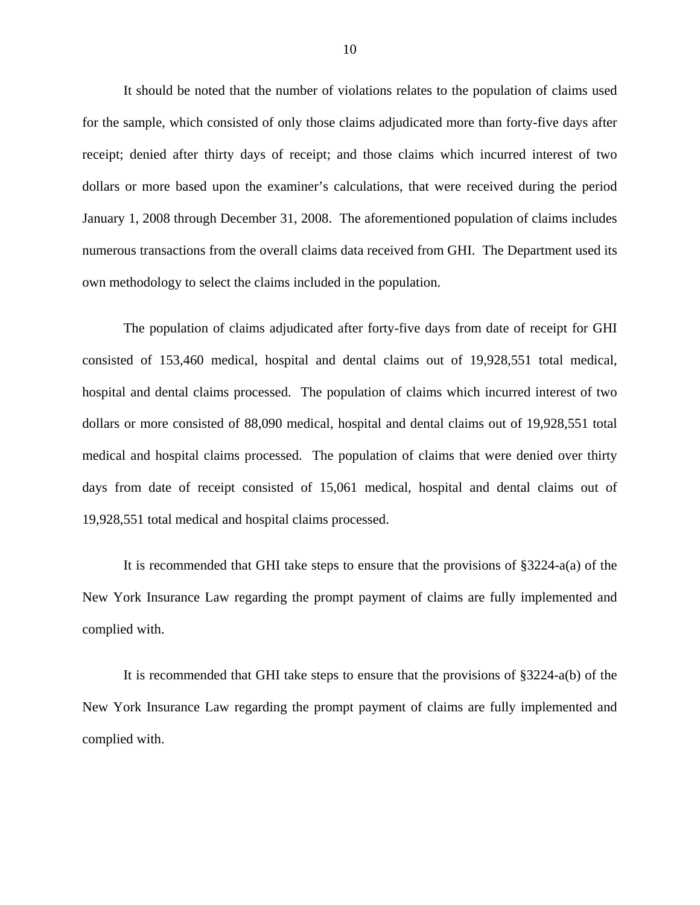It should be noted that the number of violations relates to the population of claims used for the sample, which consisted of only those claims adjudicated more than forty-five days after receipt; denied after thirty days of receipt; and those claims which incurred interest of two dollars or more based upon the examiner's calculations, that were received during the period January 1, 2008 through December 31, 2008. The aforementioned population of claims includes numerous transactions from the overall claims data received from GHI. The Department used its own methodology to select the claims included in the population.

The population of claims adjudicated after forty-five days from date of receipt for GHI consisted of 153,460 medical, hospital and dental claims out of 19,928,551 total medical, hospital and dental claims processed. The population of claims which incurred interest of two dollars or more consisted of 88,090 medical, hospital and dental claims out of 19,928,551 total medical and hospital claims processed. The population of claims that were denied over thirty days from date of receipt consisted of 15,061 medical, hospital and dental claims out of 19,928,551 total medical and hospital claims processed.

It is recommended that GHI take steps to ensure that the provisions of §3224-a(a) of the New York Insurance Law regarding the prompt payment of claims are fully implemented and complied with.

It is recommended that GHI take steps to ensure that the provisions of §3224-a(b) of the New York Insurance Law regarding the prompt payment of claims are fully implemented and complied with.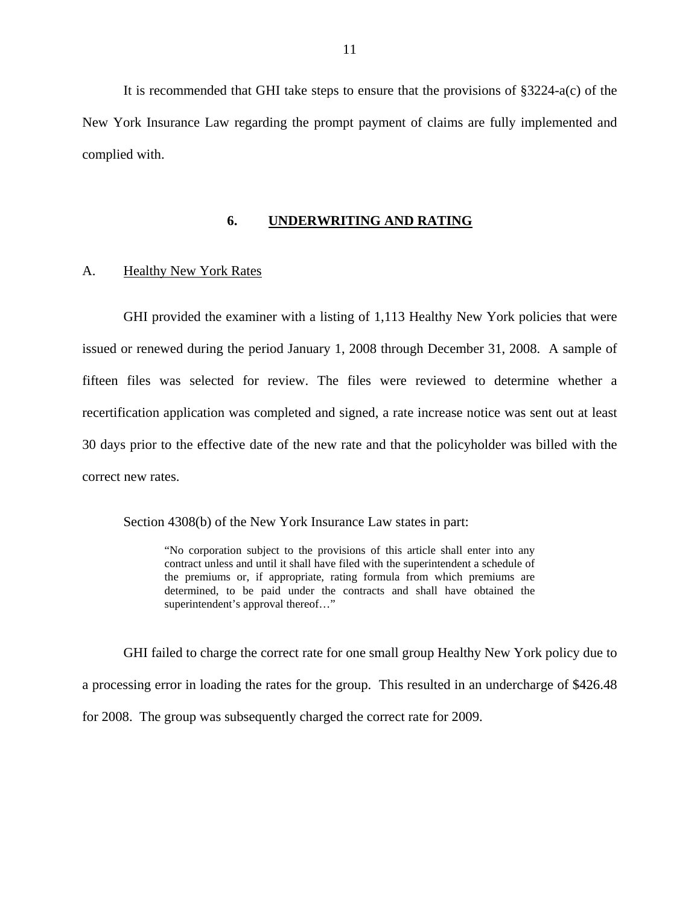<span id="page-12-0"></span>It is recommended that GHI take steps to ensure that the provisions of §3224-a(c) of the New York Insurance Law regarding the prompt payment of claims are fully implemented and complied with.

#### **6. UNDERWRITING AND RATING**

#### A. Healthy New York Rates

GHI provided the examiner with a listing of 1,113 Healthy New York policies that were issued or renewed during the period January 1, 2008 through December 31, 2008. A sample of fifteen files was selected for review. The files were reviewed to determine whether a recertification application was completed and signed, a rate increase notice was sent out at least 30 days prior to the effective date of the new rate and that the policyholder was billed with the correct new rates.

Section 4308(b) of the New York Insurance Law states in part:

"No corporation subject to the provisions of this article shall enter into any contract unless and until it shall have filed with the superintendent a schedule of the premiums or, if appropriate, rating formula from which premiums are determined, to be paid under the contracts and shall have obtained the superintendent's approval thereof..."

GHI failed to charge the correct rate for one small group Healthy New York policy due to a processing error in loading the rates for the group. This resulted in an undercharge of \$426.48 for 2008. The group was subsequently charged the correct rate for 2009.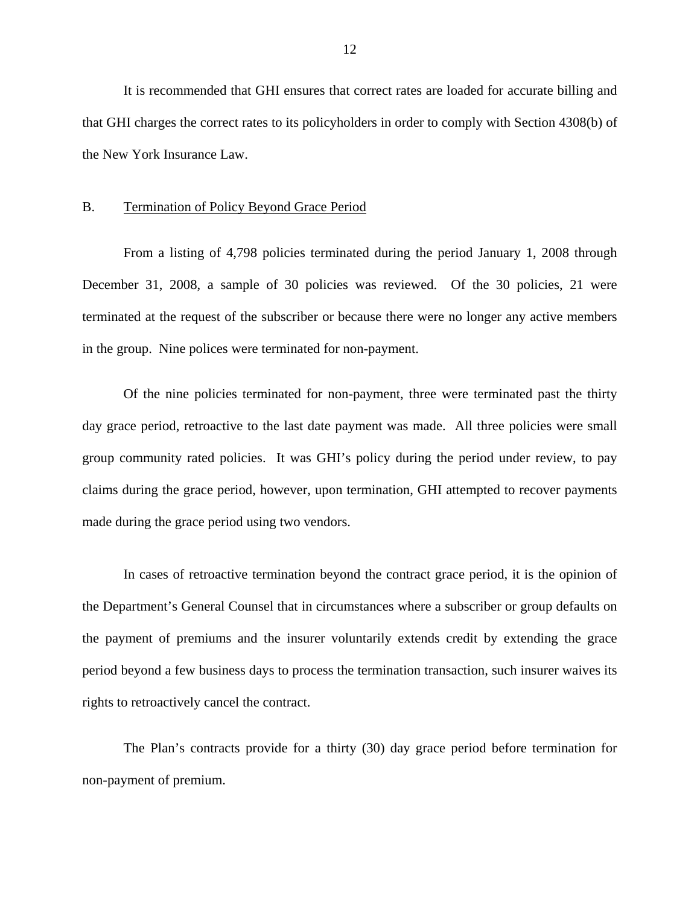<span id="page-13-0"></span>It is recommended that GHI ensures that correct rates are loaded for accurate billing and that GHI charges the correct rates to its policyholders in order to comply with Section 4308(b) of the New York Insurance Law.

#### B. Termination of Policy Beyond Grace Period

From a listing of 4,798 policies terminated during the period January 1, 2008 through December 31, 2008, a sample of 30 policies was reviewed. Of the 30 policies, 21 were terminated at the request of the subscriber or because there were no longer any active members in the group. Nine polices were terminated for non-payment.

Of the nine policies terminated for non-payment, three were terminated past the thirty day grace period, retroactive to the last date payment was made. All three policies were small group community rated policies. It was GHI's policy during the period under review, to pay claims during the grace period, however, upon termination, GHI attempted to recover payments made during the grace period using two vendors.

In cases of retroactive termination beyond the contract grace period, it is the opinion of the Department's General Counsel that in circumstances where a subscriber or group defaults on the payment of premiums and the insurer voluntarily extends credit by extending the grace period beyond a few business days to process the termination transaction, such insurer waives its rights to retroactively cancel the contract.

The Plan's contracts provide for a thirty (30) day grace period before termination for non-payment of premium.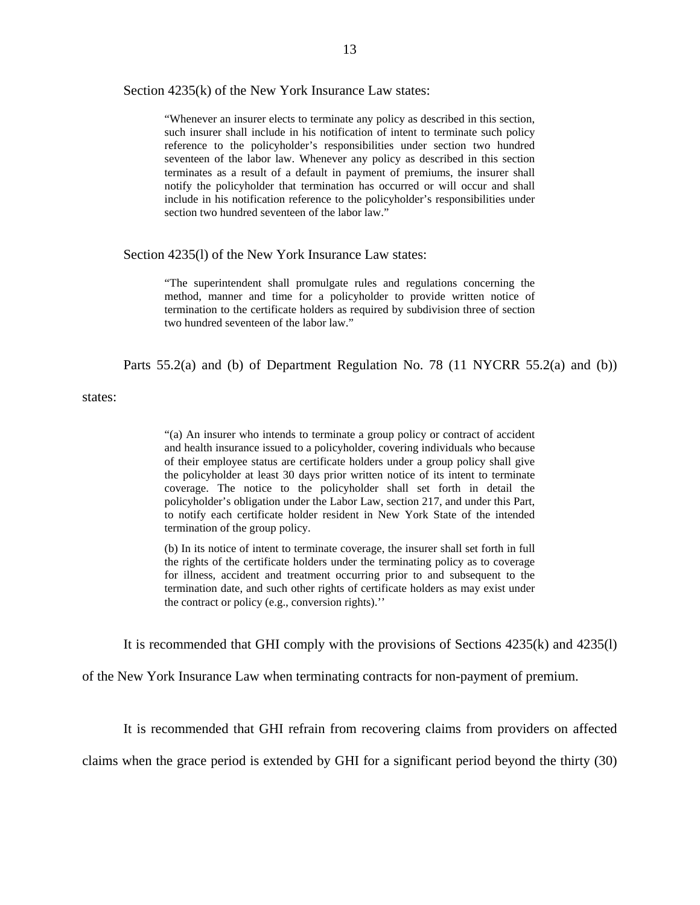Section 4235(k) of the New York Insurance Law states:

 seventeen of the labor law. Whenever any policy as described in this section "Whenever an insurer elects to terminate any policy as described in this section, such insurer shall include in his notification of intent to terminate such policy reference to the policyholder's responsibilities under section two hundred terminates as a result of a default in payment of premiums, the insurer shall notify the policyholder that termination has occurred or will occur and shall include in his notification reference to the policyholder's responsibilities under section two hundred seventeen of the labor law."

#### Section 4235(l) of the New York Insurance Law states:

"The superintendent shall promulgate rules and regulations concerning the method, manner and time for a policyholder to provide written notice of termination to the certificate holders as required by subdivision three of section two hundred seventeen of the labor law."

Parts 55.2(a) and (b) of Department Regulation No. 78 (11 NYCRR 55.2(a) and (b))

states:

"(a) An insurer who intends to terminate a group policy or contract of accident and health insurance issued to a policyholder, covering individuals who because of their employee status are certificate holders under a group policy shall give the policyholder at least 30 days prior written notice of its intent to terminate coverage. The notice to the policyholder shall set forth in detail the policyholder's obligation under the Labor Law, section 217, and under this Part, to notify each certificate holder resident in New York State of the intended termination of the group policy.

 (b) In its notice of intent to terminate coverage, the insurer shall set forth in full the rights of the certificate holders under the terminating policy as to coverage termination date, and such other rights of certificate holders as may exist under for illness, accident and treatment occurring prior to and subsequent to the the contract or policy (e.g., conversion rights).''

It is recommended that GHI comply with the provisions of Sections 4235(k) and 4235(l)

of the New York Insurance Law when terminating contracts for non-payment of premium.

It is recommended that GHI refrain from recovering claims from providers on affected

claims when the grace period is extended by GHI for a significant period beyond the thirty (30)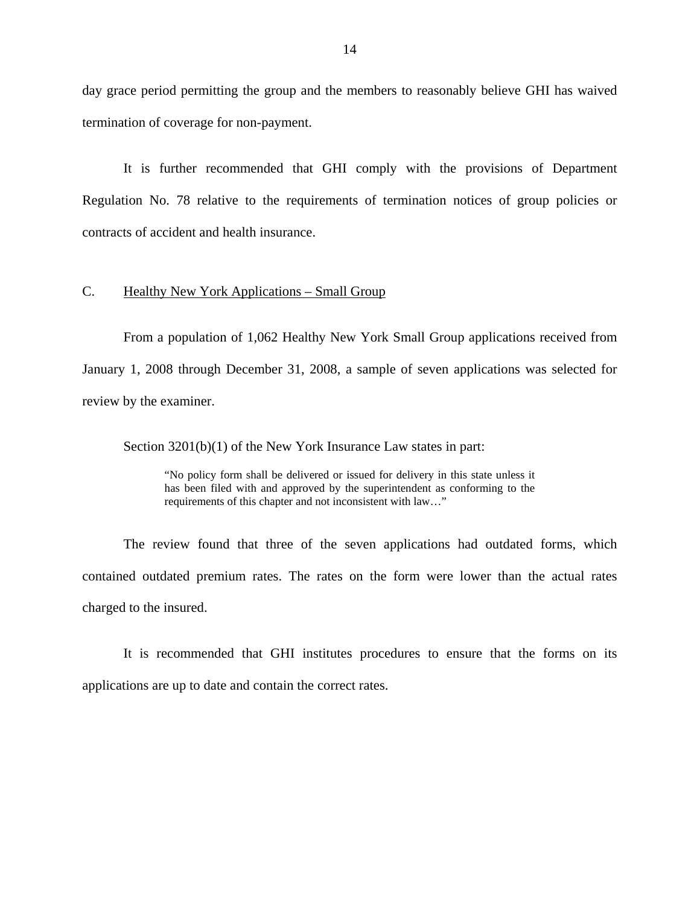<span id="page-15-0"></span>day grace period permitting the group and the members to reasonably believe GHI has waived termination of coverage for non-payment.

It is further recommended that GHI comply with the provisions of Department Regulation No. 78 relative to the requirements of termination notices of group policies or contracts of accident and health insurance.

## C. Healthy New York Applications – Small Group

From a population of 1,062 Healthy New York Small Group applications received from January 1, 2008 through December 31, 2008, a sample of seven applications was selected for review by the examiner.

Section 3201(b)(1) of the New York Insurance Law states in part:

"No policy form shall be delivered or issued for delivery in this state unless it has been filed with and approved by the superintendent as conforming to the requirements of this chapter and not inconsistent with law…"

The review found that three of the seven applications had outdated forms, which contained outdated premium rates. The rates on the form were lower than the actual rates charged to the insured.

It is recommended that GHI institutes procedures to ensure that the forms on its applications are up to date and contain the correct rates.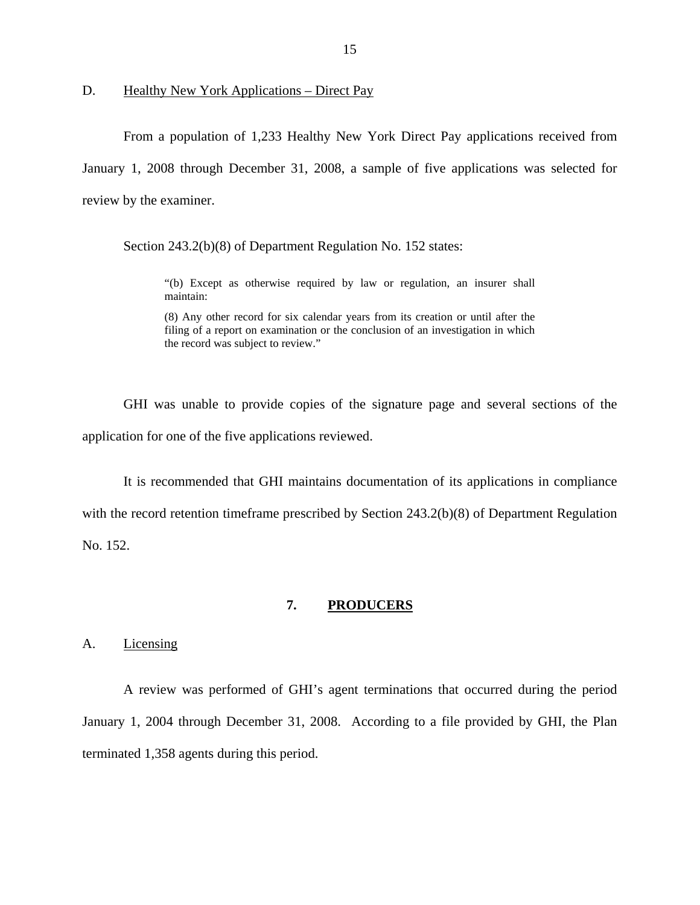<span id="page-16-0"></span>D. Healthy New York Applications – Direct Pay

From a population of 1,233 Healthy New York Direct Pay applications received from January 1, 2008 through December 31, 2008, a sample of five applications was selected for review by the examiner.

Section 243.2(b)(8) of Department Regulation No. 152 states:

"(b) Except as otherwise required by law or regulation, an insurer shall maintain:

 (8) Any other record for six calendar years from its creation or until after the filing of a report on examination or the conclusion of an investigation in which the record was subject to review."

GHI was unable to provide copies of the signature page and several sections of the application for one of the five applications reviewed.

It is recommended that GHI maintains documentation of its applications in compliance with the record retention timeframe prescribed by Section 243.2(b)(8) of Department Regulation No. 152.

## **7. PRODUCERS**

A. Licensing

A review was performed of GHI's agent terminations that occurred during the period January 1, 2004 through December 31, 2008. According to a file provided by GHI, the Plan terminated 1,358 agents during this period.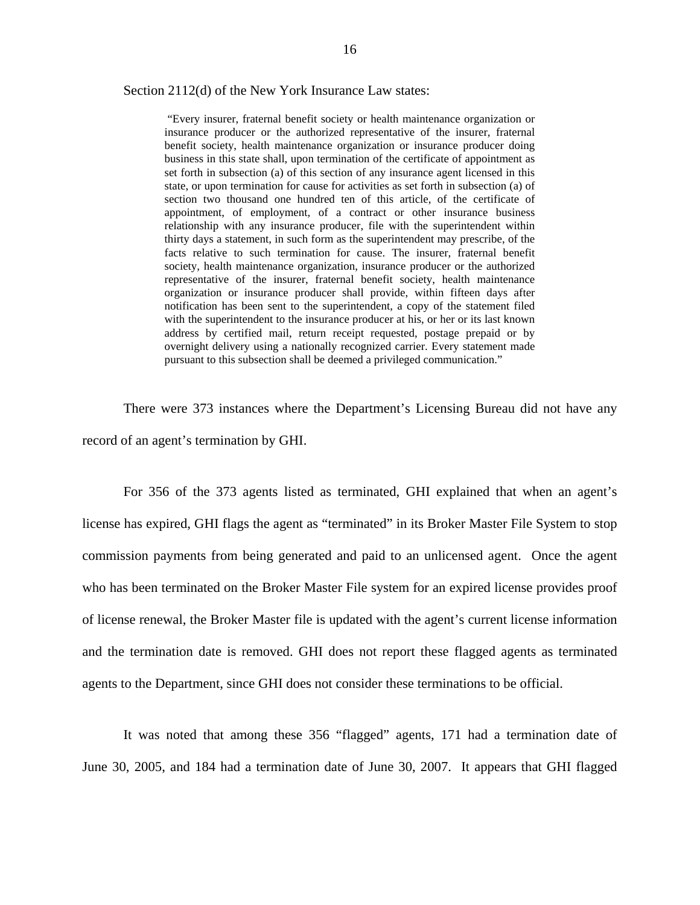#### Section 2112(d) of the New York Insurance Law states:

 set forth in subsection (a) of this section of any insurance agent licensed in this facts relative to such termination for cause. The insurer, fraternal benefit organization or insurance producer shall provide, within fifteen days after overnight delivery using a nationally recognized carrier. Every statement made "Every insurer, fraternal benefit society or health maintenance organization or insurance producer or the authorized representative of the insurer, fraternal benefit society, health maintenance organization or insurance producer doing business in this state shall, upon termination of the certificate of appointment as state, or upon termination for cause for activities as set forth in subsection (a) of section two thousand one hundred ten of this article, of the certificate of appointment, of employment, of a contract or other insurance business relationship with any insurance producer, file with the superintendent within thirty days a statement, in such form as the superintendent may prescribe, of the society, health maintenance organization, insurance producer or the authorized representative of the insurer, fraternal benefit society, health maintenance notification has been sent to the superintendent, a copy of the statement filed with the superintendent to the insurance producer at his, or her or its last known address by certified mail, return receipt requested, postage prepaid or by pursuant to this subsection shall be deemed a privileged communication."

There were 373 instances where the Department's Licensing Bureau did not have any record of an agent's termination by GHI.

For 356 of the 373 agents listed as terminated, GHI explained that when an agent's license has expired, GHI flags the agent as "terminated" in its Broker Master File System to stop commission payments from being generated and paid to an unlicensed agent. Once the agent who has been terminated on the Broker Master File system for an expired license provides proof of license renewal, the Broker Master file is updated with the agent's current license information and the termination date is removed. GHI does not report these flagged agents as terminated agents to the Department, since GHI does not consider these terminations to be official.

It was noted that among these 356 "flagged" agents, 171 had a termination date of June 30, 2005, and 184 had a termination date of June 30, 2007. It appears that GHI flagged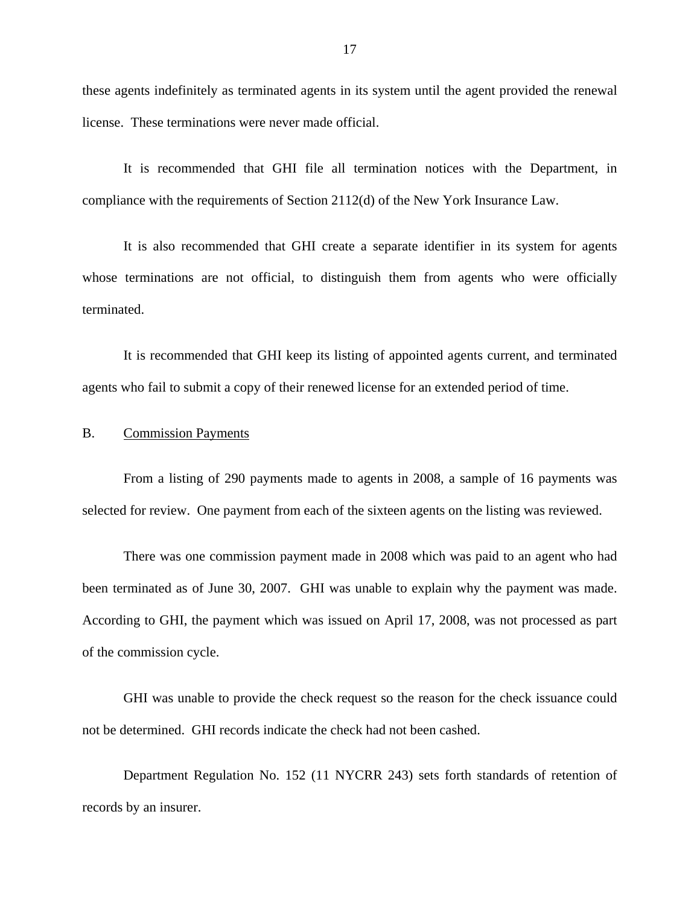<span id="page-18-0"></span>these agents indefinitely as terminated agents in its system until the agent provided the renewal license. These terminations were never made official.

It is recommended that GHI file all termination notices with the Department, in compliance with the requirements of Section 2112(d) of the New York Insurance Law.

It is also recommended that GHI create a separate identifier in its system for agents whose terminations are not official, to distinguish them from agents who were officially terminated.

It is recommended that GHI keep its listing of appointed agents current, and terminated agents who fail to submit a copy of their renewed license for an extended period of time.

### B. Commission Payments

From a listing of 290 payments made to agents in 2008, a sample of 16 payments was selected for review. One payment from each of the sixteen agents on the listing was reviewed.

There was one commission payment made in 2008 which was paid to an agent who had been terminated as of June 30, 2007. GHI was unable to explain why the payment was made. According to GHI, the payment which was issued on April 17, 2008, was not processed as part of the commission cycle.

GHI was unable to provide the check request so the reason for the check issuance could not be determined. GHI records indicate the check had not been cashed.

Department Regulation No. 152 (11 NYCRR 243) sets forth standards of retention of records by an insurer.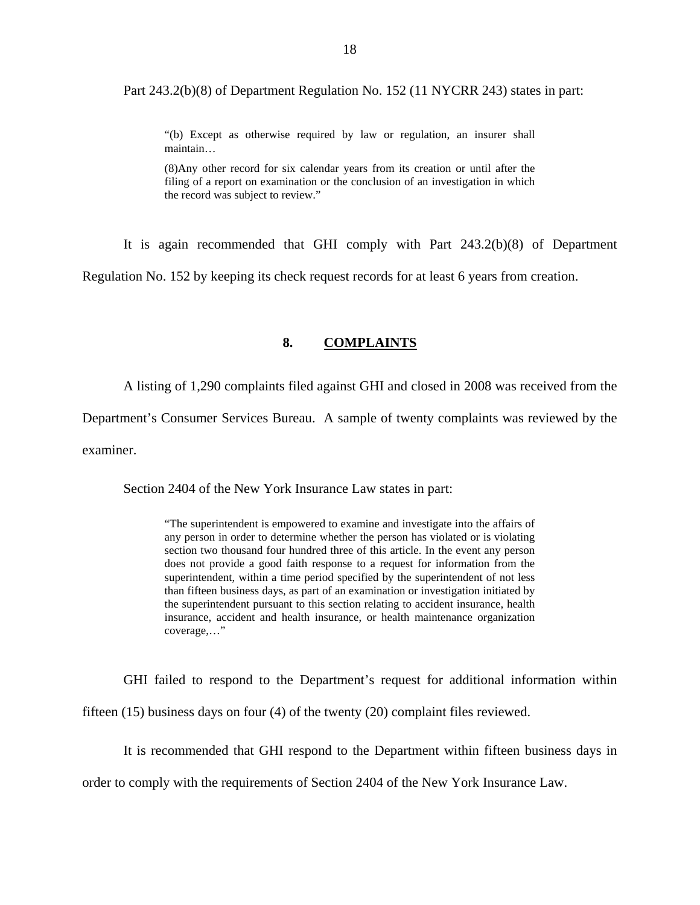<span id="page-19-0"></span>Part 243.2(b)(8) of Department Regulation No. 152 (11 NYCRR 243) states in part:

"(b) Except as otherwise required by law or regulation, an insurer shall maintain…

(8)Any other record for six calendar years from its creation or until after the filing of a report on examination or the conclusion of an investigation in which the record was subject to review."

It is again recommended that GHI comply with Part 243.2(b)(8) of Department

Regulation No. 152 by keeping its check request records for at least 6 years from creation.

## **8. COMPLAINTS**

A listing of 1,290 complaints filed against GHI and closed in 2008 was received from the

Department's Consumer Services Bureau. A sample of twenty complaints was reviewed by the

examiner.

Section 2404 of the New York Insurance Law states in part:

 section two thousand four hundred three of this article. In the event any person than fifteen business days, as part of an examination or investigation initiated by "The superintendent is empowered to examine and investigate into the affairs of any person in order to determine whether the person has violated or is violating does not provide a good faith response to a request for information from the superintendent, within a time period specified by the superintendent of not less the superintendent pursuant to this section relating to accident insurance, health insurance, accident and health insurance, or health maintenance organization coverage,…"

GHI failed to respond to the Department's request for additional information within

fifteen (15) business days on four (4) of the twenty (20) complaint files reviewed.

It is recommended that GHI respond to the Department within fifteen business days in

order to comply with the requirements of Section 2404 of the New York Insurance Law.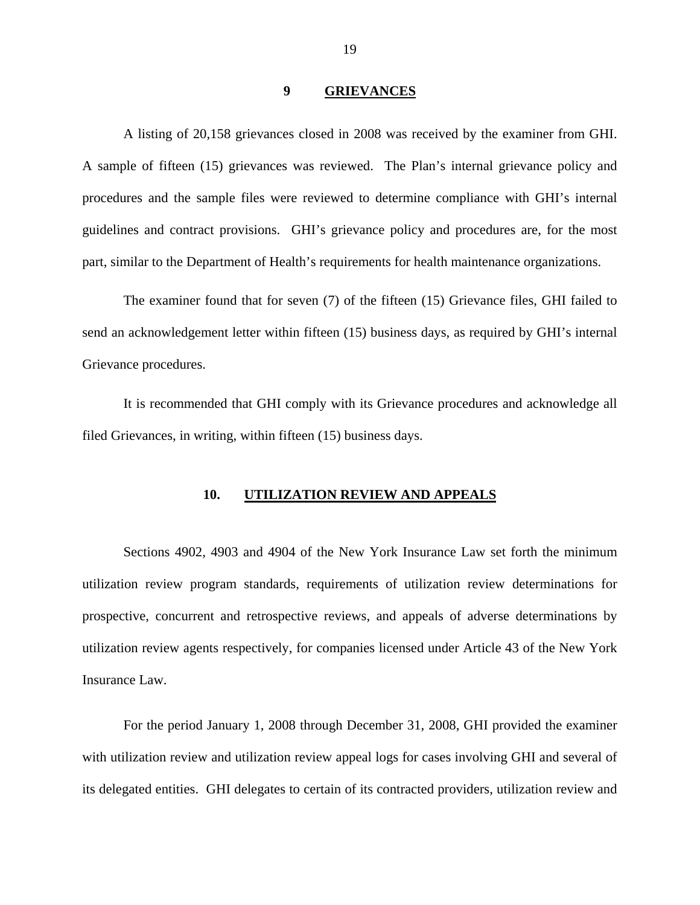#### **9 GRIEVANCES**

<span id="page-20-0"></span>A listing of 20,158 grievances closed in 2008 was received by the examiner from GHI. A sample of fifteen (15) grievances was reviewed. The Plan's internal grievance policy and procedures and the sample files were reviewed to determine compliance with GHI's internal guidelines and contract provisions. GHI's grievance policy and procedures are, for the most part, similar to the Department of Health's requirements for health maintenance organizations.

The examiner found that for seven (7) of the fifteen (15) Grievance files, GHI failed to send an acknowledgement letter within fifteen (15) business days, as required by GHI's internal Grievance procedures.

It is recommended that GHI comply with its Grievance procedures and acknowledge all filed Grievances, in writing, within fifteen (15) business days.

#### **10. UTILIZATION REVIEW AND APPEALS**

Sections 4902, 4903 and 4904 of the New York Insurance Law set forth the minimum utilization review program standards, requirements of utilization review determinations for prospective, concurrent and retrospective reviews, and appeals of adverse determinations by utilization review agents respectively, for companies licensed under Article 43 of the New York Insurance Law.

For the period January 1, 2008 through December 31, 2008, GHI provided the examiner with utilization review and utilization review appeal logs for cases involving GHI and several of its delegated entities. GHI delegates to certain of its contracted providers, utilization review and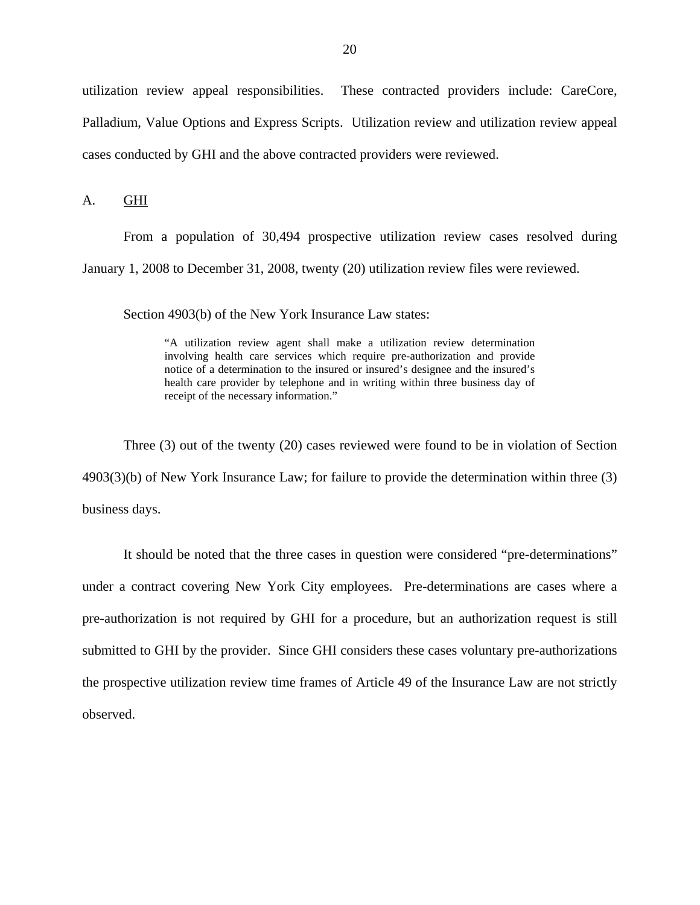<span id="page-21-0"></span>utilization review appeal responsibilities. These contracted providers include: CareCore, Palladium, Value Options and Express Scripts. Utilization review and utilization review appeal cases conducted by GHI and the above contracted providers were reviewed.

A. GHI

From a population of 30,494 prospective utilization review cases resolved during January 1, 2008 to December 31, 2008, twenty (20) utilization review files were reviewed.

Section 4903(b) of the New York Insurance Law states:

"A utilization review agent shall make a utilization review determination involving health care services which require pre-authorization and provide notice of a determination to the insured or insured's designee and the insured's health care provider by telephone and in writing within three business day of receipt of the necessary information."

Three (3) out of the twenty (20) cases reviewed were found to be in violation of Section 4903(3)(b) of New York Insurance Law; for failure to provide the determination within three (3) business days.

It should be noted that the three cases in question were considered "pre-determinations" under a contract covering New York City employees. Pre-determinations are cases where a pre-authorization is not required by GHI for a procedure, but an authorization request is still submitted to GHI by the provider. Since GHI considers these cases voluntary pre-authorizations the prospective utilization review time frames of Article 49 of the Insurance Law are not strictly observed.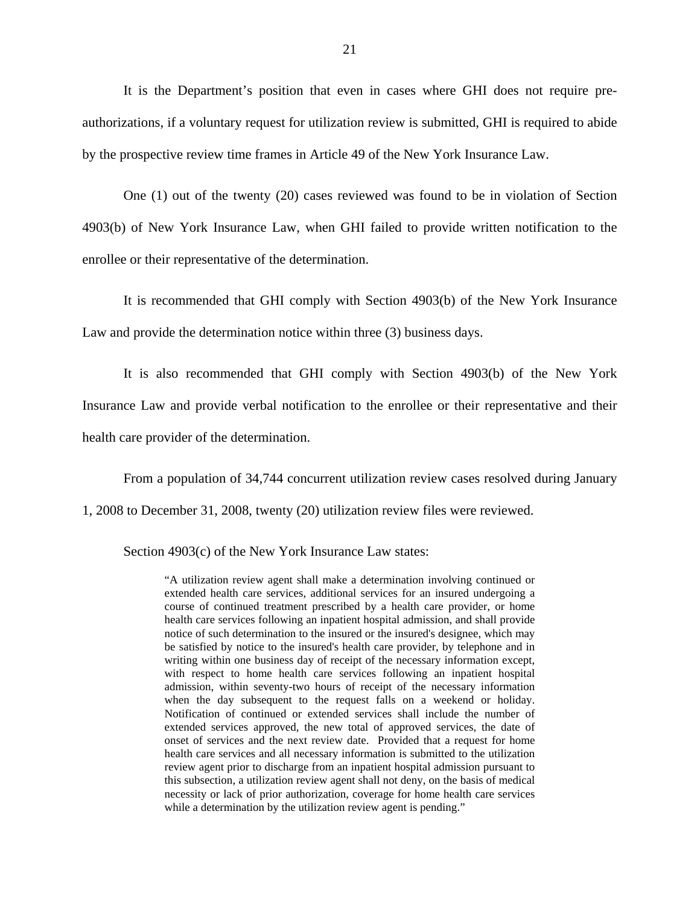It is the Department's position that even in cases where GHI does not require preauthorizations, if a voluntary request for utilization review is submitted, GHI is required to abide by the prospective review time frames in Article 49 of the New York Insurance Law.

One (1) out of the twenty (20) cases reviewed was found to be in violation of Section 4903(b) of New York Insurance Law, when GHI failed to provide written notification to the enrollee or their representative of the determination.

It is recommended that GHI comply with Section 4903(b) of the New York Insurance Law and provide the determination notice within three (3) business days.

It is also recommended that GHI comply with Section 4903(b) of the New York Insurance Law and provide verbal notification to the enrollee or their representative and their health care provider of the determination.

From a population of 34,744 concurrent utilization review cases resolved during January

1, 2008 to December 31, 2008, twenty (20) utilization review files were reviewed.

Section 4903(c) of the New York Insurance Law states:

 with respect to home health care services following an inpatient hospital this subsection, a utilization review agent shall not deny, on the basis of medical "A utilization review agent shall make a determination involving continued or extended health care services, additional services for an insured undergoing a course of continued treatment prescribed by a health care provider, or home health care services following an inpatient hospital admission, and shall provide notice of such determination to the insured or the insured's designee, which may be satisfied by notice to the insured's health care provider, by telephone and in writing within one business day of receipt of the necessary information except, admission, within seventy-two hours of receipt of the necessary information when the day subsequent to the request falls on a weekend or holiday. Notification of continued or extended services shall include the number of extended services approved, the new total of approved services, the date of onset of services and the next review date. Provided that a request for home health care services and all necessary information is submitted to the utilization review agent prior to discharge from an inpatient hospital admission pursuant to necessity or lack of prior authorization, coverage for home health care services while a determination by the utilization review agent is pending."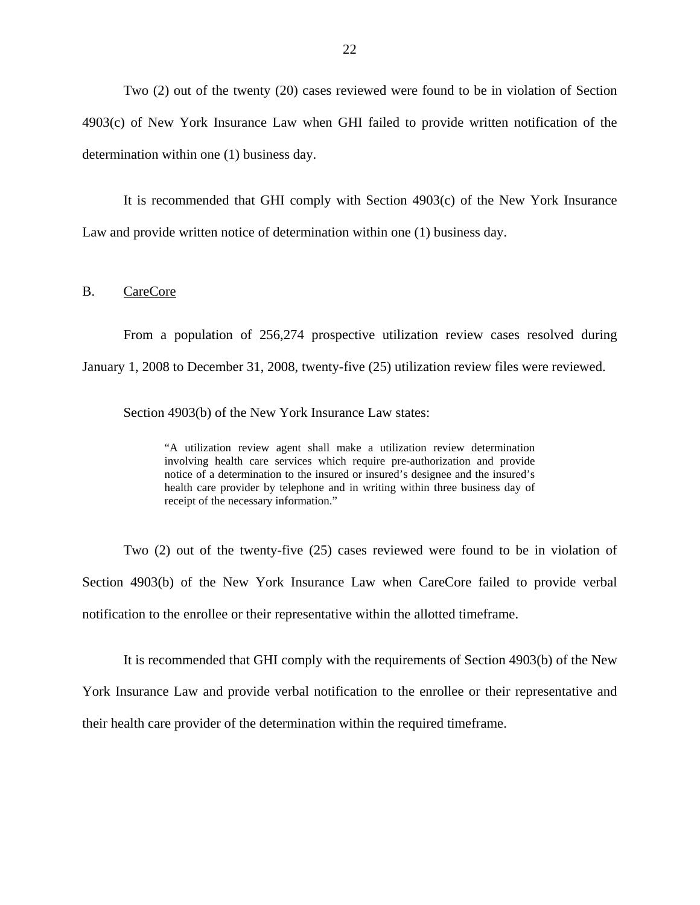<span id="page-23-0"></span>Two (2) out of the twenty (20) cases reviewed were found to be in violation of Section 4903(c) of New York Insurance Law when GHI failed to provide written notification of the determination within one (1) business day.

It is recommended that GHI comply with Section 4903(c) of the New York Insurance Law and provide written notice of determination within one (1) business day.

B. CareCore

From a population of 256,274 prospective utilization review cases resolved during January 1, 2008 to December 31, 2008, twenty-five (25) utilization review files were reviewed.

Section 4903(b) of the New York Insurance Law states:

"A utilization review agent shall make a utilization review determination involving health care services which require pre-authorization and provide notice of a determination to the insured or insured's designee and the insured's health care provider by telephone and in writing within three business day of receipt of the necessary information."

Two (2) out of the twenty-five (25) cases reviewed were found to be in violation of Section 4903(b) of the New York Insurance Law when CareCore failed to provide verbal notification to the enrollee or their representative within the allotted timeframe.

It is recommended that GHI comply with the requirements of Section 4903(b) of the New York Insurance Law and provide verbal notification to the enrollee or their representative and their health care provider of the determination within the required timeframe.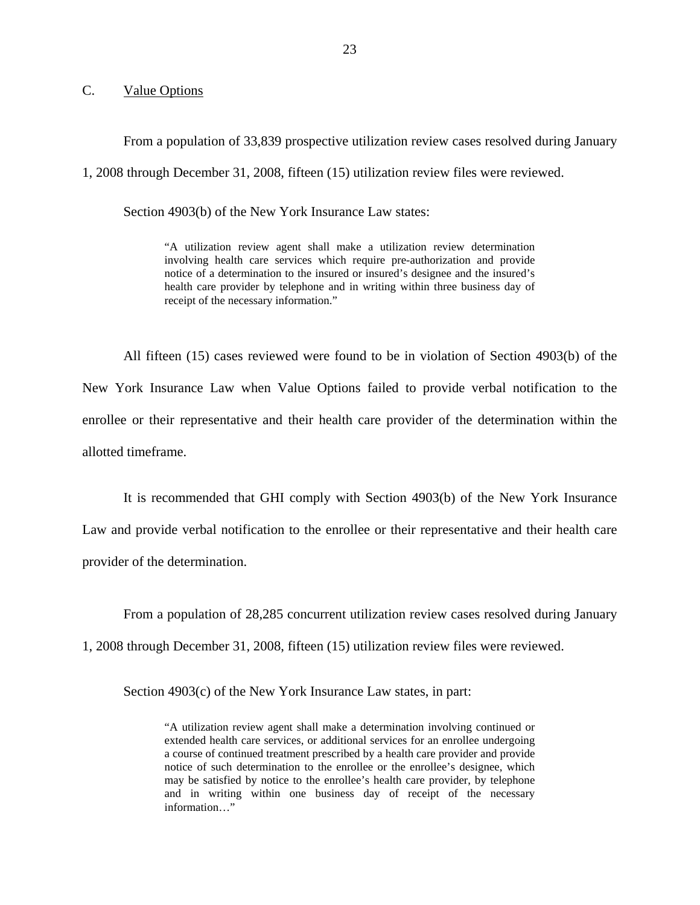## <span id="page-24-0"></span>C. Value Options

From a population of 33,839 prospective utilization review cases resolved during January 1, 2008 through December 31, 2008, fifteen (15) utilization review files were reviewed.

Section 4903(b) of the New York Insurance Law states:

"A utilization review agent shall make a utilization review determination involving health care services which require pre-authorization and provide notice of a determination to the insured or insured's designee and the insured's health care provider by telephone and in writing within three business day of receipt of the necessary information."

All fifteen (15) cases reviewed were found to be in violation of Section 4903(b) of the New York Insurance Law when Value Options failed to provide verbal notification to the enrollee or their representative and their health care provider of the determination within the allotted timeframe.

It is recommended that GHI comply with Section 4903(b) of the New York Insurance Law and provide verbal notification to the enrollee or their representative and their health care provider of the determination.

From a population of 28,285 concurrent utilization review cases resolved during January

1, 2008 through December 31, 2008, fifteen (15) utilization review files were reviewed.

Section 4903(c) of the New York Insurance Law states, in part:

"A utilization review agent shall make a determination involving continued or extended health care services, or additional services for an enrollee undergoing a course of continued treatment prescribed by a health care provider and provide notice of such determination to the enrollee or the enrollee's designee, which may be satisfied by notice to the enrollee's health care provider, by telephone and in writing within one business day of receipt of the necessary information…"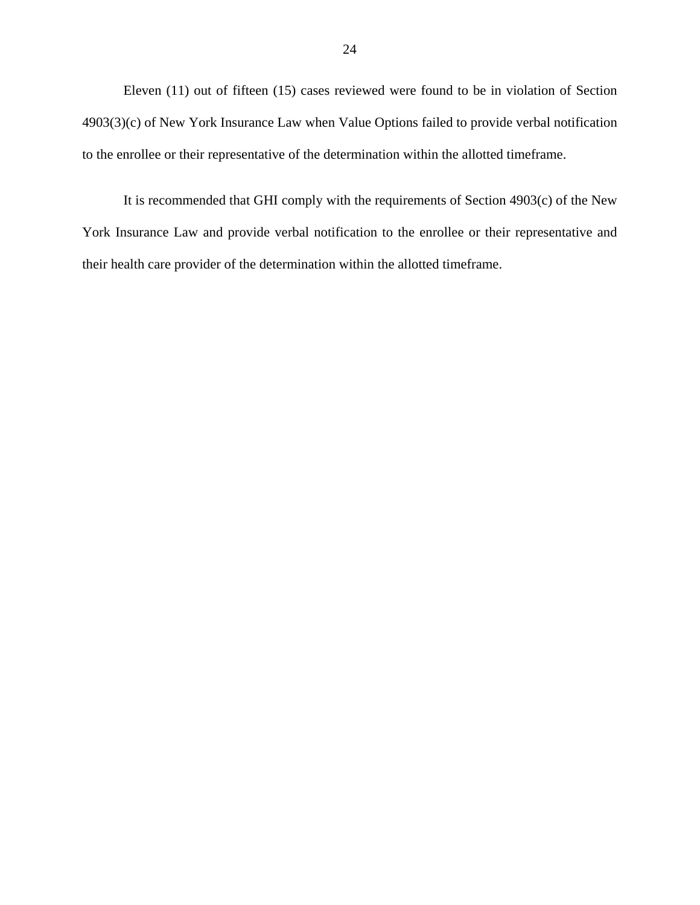Eleven (11) out of fifteen (15) cases reviewed were found to be in violation of Section 4903(3)(c) of New York Insurance Law when Value Options failed to provide verbal notification to the enrollee or their representative of the determination within the allotted timeframe.

It is recommended that GHI comply with the requirements of Section 4903(c) of the New York Insurance Law and provide verbal notification to the enrollee or their representative and their health care provider of the determination within the allotted timeframe.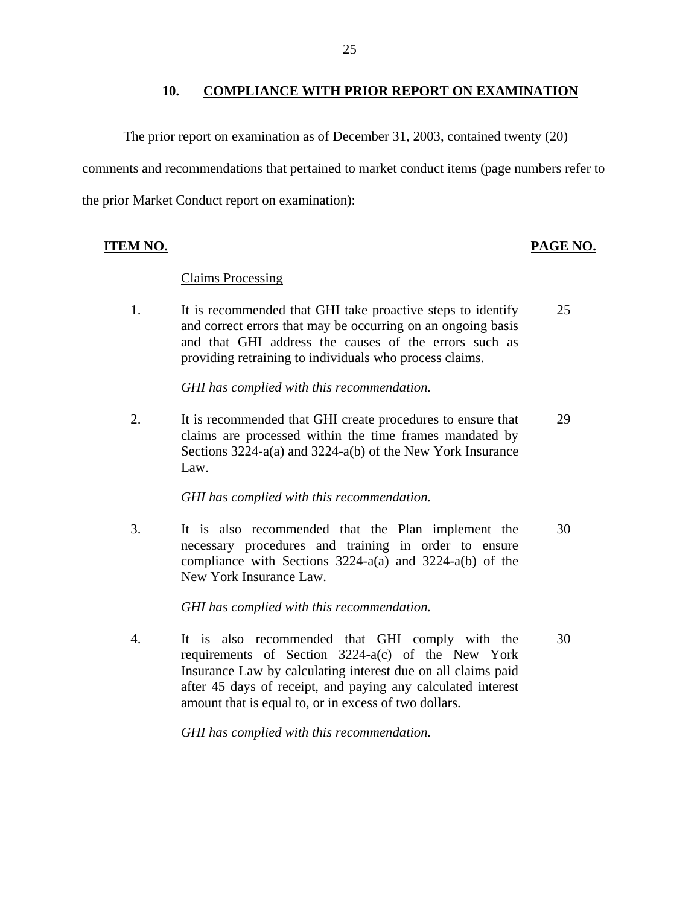#### **10. COMPLIANCE WITH PRIOR REPORT ON EXAMINATION**

<span id="page-26-0"></span>The prior report on examination as of December 31, 2003, contained twenty (20) comments and recommendations that pertained to market conduct items (page numbers refer to the prior Market Conduct report on examination):

## **ITEM NO. PAGE NO.**

#### **Claims Processing**

1. It is recommended that GHI take proactive steps to identify 25 and correct errors that may be occurring on an ongoing basis and that GHI address the causes of the errors such as providing retraining to individuals who process claims.

*GHI has complied with this recommendation.* 

2. It is recommended that GHI create procedures to ensure that 29 claims are processed within the time frames mandated by Sections 3224-a(a) and 3224-a(b) of the New York Insurance Law.

*GHI has complied with this recommendation.* 

3. It is also recommended that the Plan implement the 30 necessary procedures and training in order to ensure compliance with Sections 3224-a(a) and 3224-a(b) of the New York Insurance Law.

*GHI has complied with this recommendation.* 

4. It is also recommended that GHI comply with the 30 requirements of Section 3224-a(c) of the New York Insurance Law by calculating interest due on all claims paid after 45 days of receipt, and paying any calculated interest amount that is equal to, or in excess of two dollars.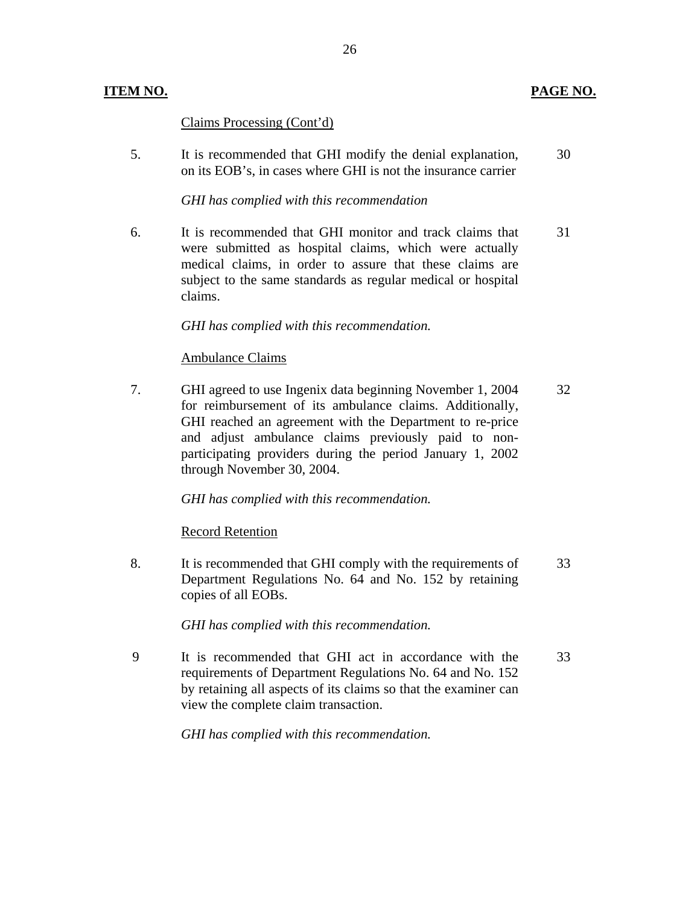#### **ITEM NO. PAGE NO. PAGE NO.**

#### Claims Processing (Cont'd)

5. It is recommended that GHI modify the denial explanation, 30 on its EOB's, in cases where GHI is not the insurance carrier

#### *GHI has complied with this recommendation*

6. It is recommended that GHI monitor and track claims that 31 were submitted as hospital claims, which were actually medical claims, in order to assure that these claims are subject to the same standards as regular medical or hospital claims.

#### *GHI has complied with this recommendation.*

#### **Ambulance Claims**

7. GHI agreed to use Ingenix data beginning November 1, 2004 32 for reimbursement of its ambulance claims. Additionally, GHI reached an agreement with the Department to re-price and adjust ambulance claims previously paid to nonparticipating providers during the period January 1, 2002 through November 30, 2004.

*GHI has complied with this recommendation.* 

#### **Record Retention**

8. It is recommended that GHI comply with the requirements of 33 Department Regulations No. 64 and No. 152 by retaining copies of all EOBs.

*GHI has complied with this recommendation.* 

9 It is recommended that GHI act in accordance with the 33 requirements of Department Regulations No. 64 and No. 152 by retaining all aspects of its claims so that the examiner can view the complete claim transaction.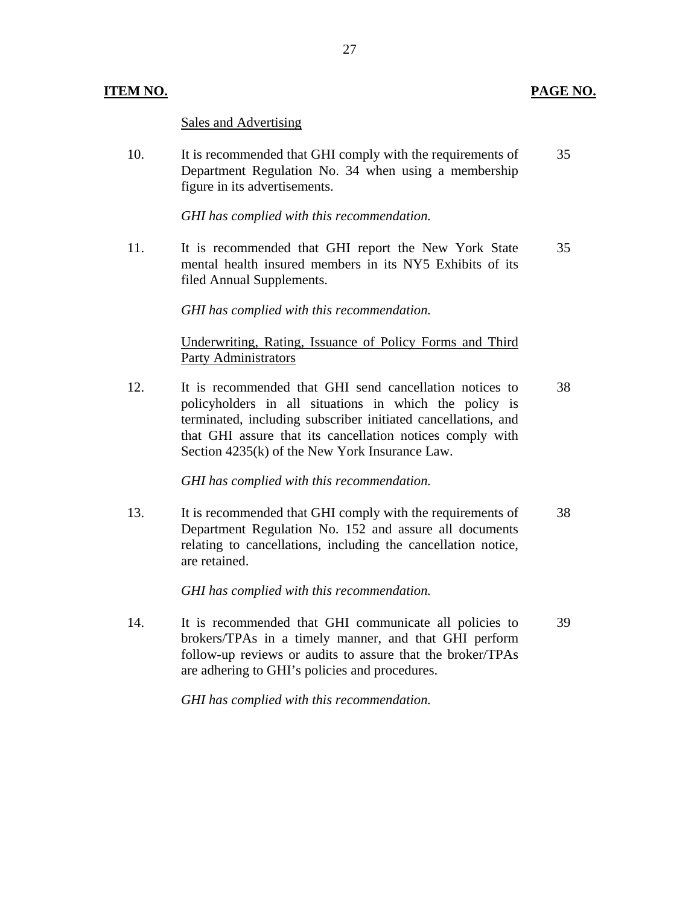#### **ITEM NO. PAGE NO. PAGE NO.**

Sales and Advertising

10. It is recommended that GHI comply with the requirements of 35 Department Regulation No. 34 when using a membership figure in its advertisements.

*GHI has complied with this recommendation.* 

11. It is recommended that GHI report the New York State 35 mental health insured members in its NY5 Exhibits of its filed Annual Supplements.

*GHI has complied with this recommendation.* 

## Underwriting, Rating, Issuance of Policy Forms and Third Party Administrators

12. It is recommended that GHI send cancellation notices to 38 policyholders in all situations in which the policy is terminated, including subscriber initiated cancellations, and that GHI assure that its cancellation notices comply with Section 4235(k) of the New York Insurance Law.

*GHI has complied with this recommendation.* 

13. It is recommended that GHI comply with the requirements of 38 Department Regulation No. 152 and assure all documents relating to cancellations, including the cancellation notice, are retained.

*GHI has complied with this recommendation.* 

14. It is recommended that GHI communicate all policies to 39 brokers/TPAs in a timely manner, and that GHI perform follow-up reviews or audits to assure that the broker/TPAs are adhering to GHI's policies and procedures.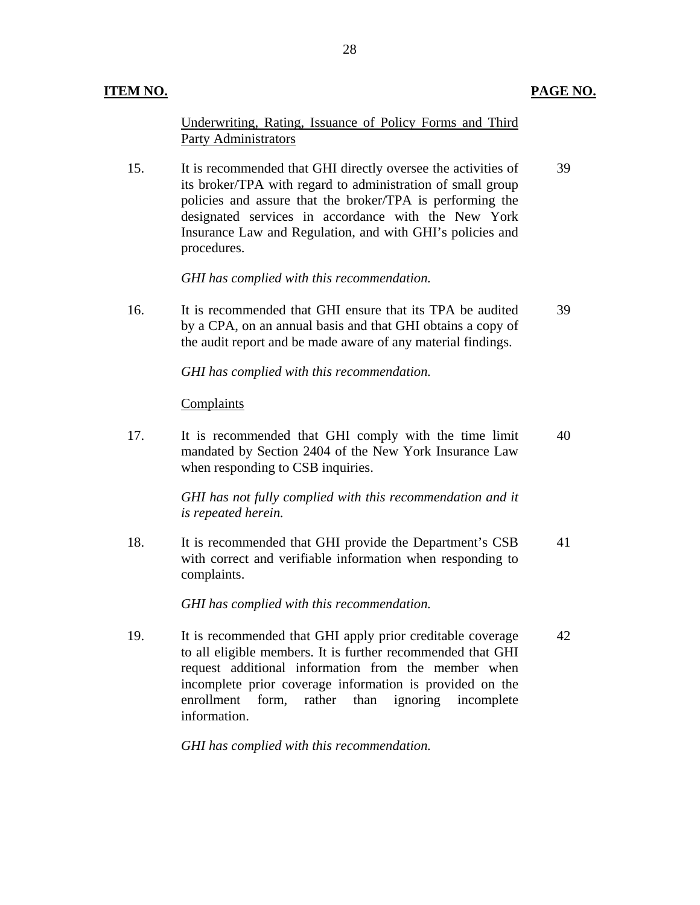#### **PAGE NO.**

Underwriting, Rating, Issuance of Policy Forms and Third Party Administrators

15. It is recommended that GHI directly oversee the activities of 39 its broker/TPA with regard to administration of small group policies and assure that the broker/TPA is performing the designated services in accordance with the New York Insurance Law and Regulation, and with GHI's policies and procedures.

*GHI has complied with this recommendation.* 

16. It is recommended that GHI ensure that its TPA be audited 39 by a CPA, on an annual basis and that GHI obtains a copy of the audit report and be made aware of any material findings.

*GHI has complied with this recommendation.* 

#### Complaints

17. It is recommended that GHI comply with the time limit 40 mandated by Section 2404 of the New York Insurance Law when responding to CSB inquiries.

> *GHI has not fully complied with this recommendation and it is repeated herein.*

18. It is recommended that GHI provide the Department's CSB 41 with correct and verifiable information when responding to complaints.

*GHI has complied with this recommendation.* 

19. It is recommended that GHI apply prior creditable coverage 42 to all eligible members. It is further recommended that GHI request additional information from the member when incomplete prior coverage information is provided on the enrollment form, rather than ignoring incomplete information.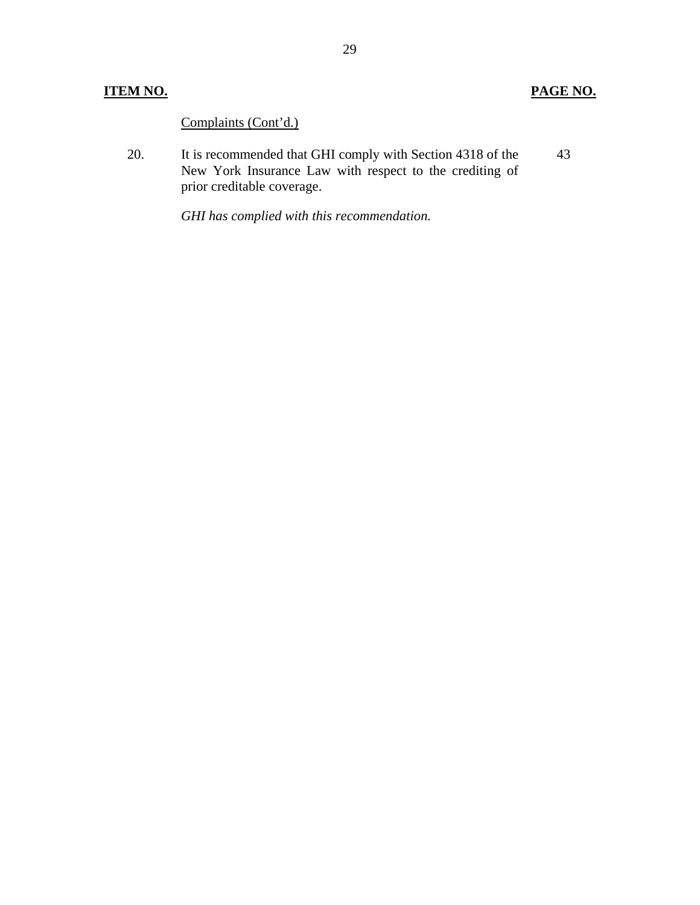## **ITEM NO. PAGE NO.**

Complaints (Cont'd.)

20. It is recommended that GHI comply with Section 4318 of the New York Insurance Law with respect to the crediting of prior creditable coverage. 43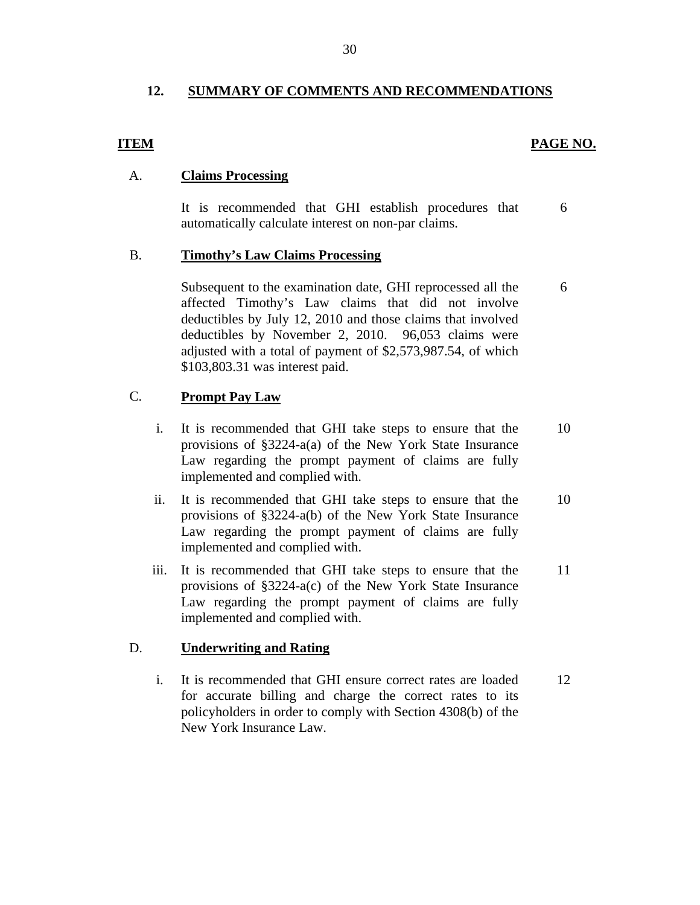## <span id="page-31-0"></span>**12. SUMMARY OF COMMENTS AND RECOMMENDATIONS**

### **ITEM PAGE NO.**

## A. **Claims Processing**

It is recommended that GHI establish procedures that 6 automatically calculate interest on non-par claims.

### B. **Timothy's Law Claims Processing**

Subsequent to the examination date, GHI reprocessed all the 6 affected Timothy's Law claims that did not involve deductibles by July 12, 2010 and those claims that involved deductibles by November 2, 2010. 96,053 claims were adjusted with a total of payment of \$[2,573,987.54,](https://2,573,987.54) of which [\\$103,803.31](https://103,803.31) was interest paid.

## C. **Prompt Pay Law**

- i. It is recommended that GHI take steps to ensure that the 10 provisions of §3224-a(a) of the New York State Insurance Law regarding the prompt payment of claims are fully implemented and complied with.
- ii. It is recommended that GHI take steps to ensure that the 10 provisions of §3224-a(b) of the New York State Insurance Law regarding the prompt payment of claims are fully implemented and complied with.
- iii. It is recommended that GHI take steps to ensure that the 11 provisions of §3224-a(c) of the New York State Insurance Law regarding the prompt payment of claims are fully implemented and complied with.

## D. **Underwriting and Rating**

i. It is recommended that GHI ensure correct rates are loaded 12 for accurate billing and charge the correct rates to its policyholders in order to comply with Section 4308(b) of the New York Insurance Law.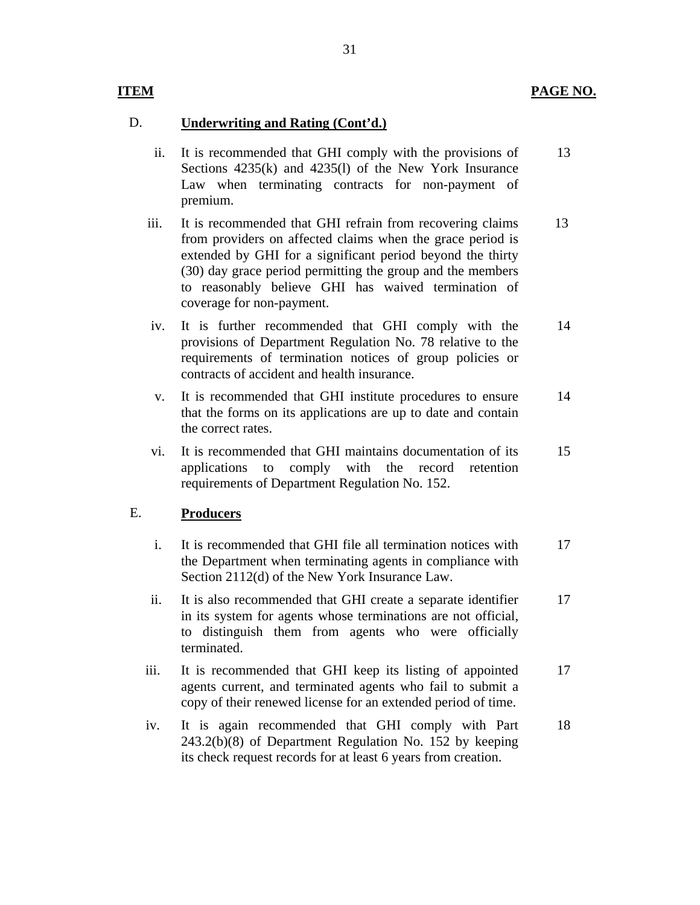## **ITEM**

## D. **Underwriting and Rating (Cont'd.)**

- ii. It is recommended that GHI comply with the provisions of Sections 4235(k) and 4235(l) of the New York Insurance Law when terminating contracts for non-payment of premium. 13
- iii. It is recommended that GHI refrain from recovering claims from providers on affected claims when the grace period is extended by GHI for a significant period beyond the thirty (30) day grace period permitting the group and the members to reasonably believe GHI has waived termination of coverage for non-payment. 13
- iv. It is further recommended that GHI comply with the provisions of Department Regulation No. 78 relative to the requirements of termination notices of group policies or contracts of accident and health insurance. 14
- v. It is recommended that GHI institute procedures to ensure that the forms on its applications are up to date and contain the correct rates. 14
- vi. It is recommended that GHI maintains documentation of its applications to comply with the record retention requirements of Department Regulation No. 152. 15

## E. **Producers**

- i. It is recommended that GHI file all termination notices with the Department when terminating agents in compliance with Section 2112(d) of the New York Insurance Law. 17
- ii. It is also recommended that GHI create a separate identifier in its system for agents whose terminations are not official, to distinguish them from agents who were officially terminated. 17
- iii. It is recommended that GHI keep its listing of appointed agents current, and terminated agents who fail to submit a copy of their renewed license for an extended period of time. 17
- iv. It is again recommended that GHI comply with Part 243.2(b)(8) of Department Regulation No. 152 by keeping its check request records for at least 6 years from creation. 18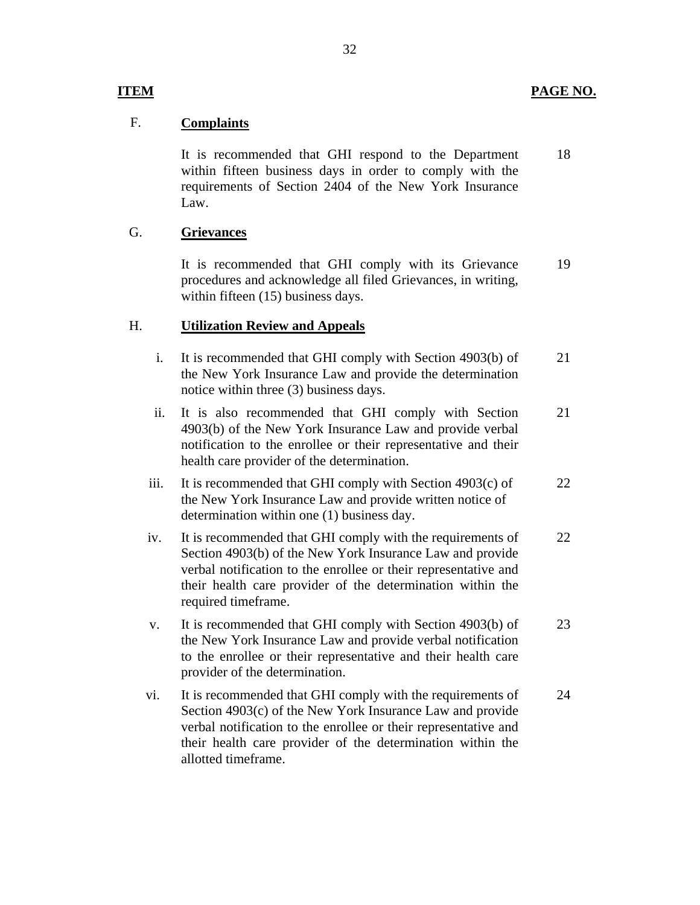## **ITEM**

## F. **Complaints**

It is recommended that GHI respond to the Department within fifteen business days in order to comply with the requirements of Section 2404 of the New York Insurance Law. 18

## G. **Grievances**

It is recommended that GHI comply with its Grievance procedures and acknowledge all filed Grievances, in writing, within fifteen (15) business days. 19

## H. **Utilization Review and Appeals**

- i. It is recommended that GHI comply with Section 4903(b) of the New York Insurance Law and provide the determination notice within three (3) business days. 21
- ii. It is also recommended that GHI comply with Section 4903(b) of the New York Insurance Law and provide verbal notification to the enrollee or their representative and their health care provider of the determination. 21
- iii. It is recommended that GHI comply with Section 4903(c) of the New York Insurance Law and provide written notice of determination within one (1) business day. 22
- iv. It is recommended that GHI comply with the requirements of Section 4903(b) of the New York Insurance Law and provide verbal notification to the enrollee or their representative and their health care provider of the determination within the required timeframe. 22
- v. It is recommended that GHI comply with Section 4903(b) of the New York Insurance Law and provide verbal notification to the enrollee or their representative and their health care provider of the determination. 23
- vi. It is recommended that GHI comply with the requirements of Section 4903(c) of the New York Insurance Law and provide verbal notification to the enrollee or their representative and their health care provider of the determination within the allotted timeframe. 24